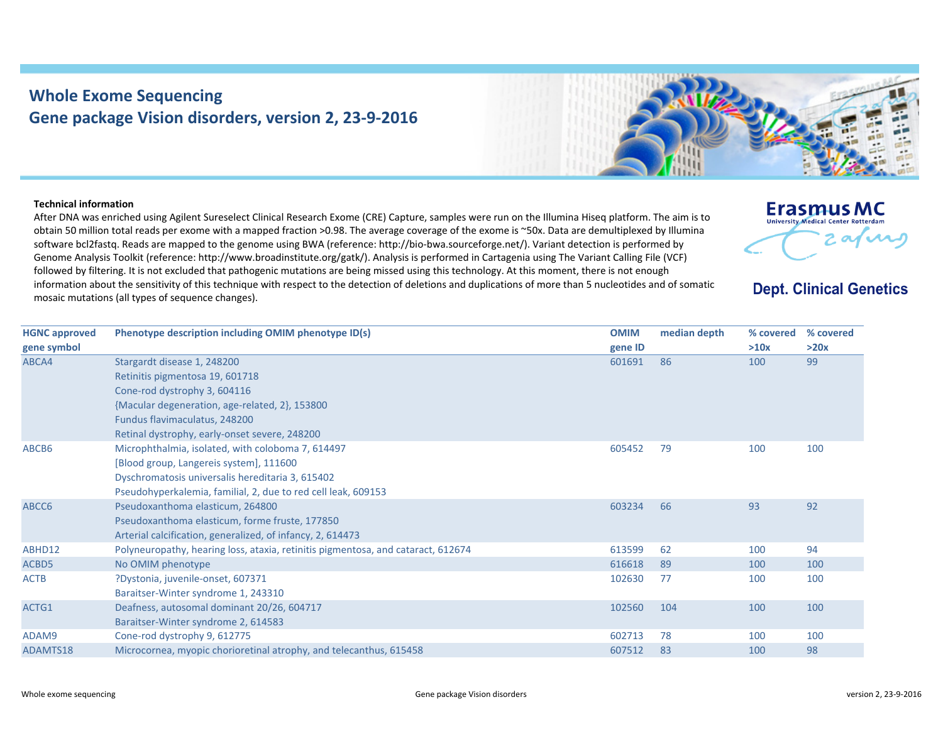## **Whole Exome Sequencing Gene package Vision disorders, version 2, 23‐9‐2016**



## **Technical information**

After DNA was enriched using Agilent Sureselect Clinical Research Exome (CRE) Capture, samples were run on the Illumina Hiseq platform. The aim is to obtain 50 million total reads per exome with <sup>a</sup> mapped fraction >0.98. The average coverage of the exome is ~50x. Data are demultiplexed by Illumina software bcl2fastq. Reads are mapped to the genome using BWA (reference: http://bio‐bwa.sourceforge.net/). Variant detection is performed by Genome Analysis Toolkit (reference: http://www.broadinstitute.org/gatk/). Analysis is performed in Cartagenia using The Variant Calling File (VCF) followed by filtering. It is not excluded that pathogenic mutations are being missed using this technology. At this moment, there is not enough information about the sensitivity of this technique with respect to the detection of deletions and duplications of more than 5 nucleotides and of somatic mosaic mutations (all types of sequence changes).



## **Dept. Clinical Genetics**

| Phenotype description including OMIM phenotype ID(s)                             | <b>OMIM</b> | median depth      | % covered | % covered |
|----------------------------------------------------------------------------------|-------------|-------------------|-----------|-----------|
|                                                                                  |             |                   | >10x      | >20x      |
| Stargardt disease 1, 248200                                                      | 601691      | 86                | 100       | 99        |
| Retinitis pigmentosa 19, 601718                                                  |             |                   |           |           |
| Cone-rod dystrophy 3, 604116                                                     |             |                   |           |           |
| {Macular degeneration, age-related, 2}, 153800                                   |             |                   |           |           |
| Fundus flavimaculatus, 248200                                                    |             |                   |           |           |
| Retinal dystrophy, early-onset severe, 248200                                    |             |                   |           |           |
| Microphthalmia, isolated, with coloboma 7, 614497                                |             | 79                | 100       | 100       |
| [Blood group, Langereis system], 111600                                          |             |                   |           |           |
| Dyschromatosis universalis hereditaria 3, 615402                                 |             |                   |           |           |
| Pseudohyperkalemia, familial, 2, due to red cell leak, 609153                    |             |                   |           |           |
| Pseudoxanthoma elasticum, 264800                                                 | 603234      | 66                | 93        | 92        |
| Pseudoxanthoma elasticum, forme fruste, 177850                                   |             |                   |           |           |
| Arterial calcification, generalized, of infancy, 2, 614473                       |             |                   |           |           |
| Polyneuropathy, hearing loss, ataxia, retinitis pigmentosa, and cataract, 612674 | 613599      | 62                | 100       | 94        |
| No OMIM phenotype                                                                | 616618      | 89                | 100       | 100       |
| ?Dystonia, juvenile-onset, 607371                                                | 102630      | 77                | 100       | 100       |
| Baraitser-Winter syndrome 1, 243310                                              |             |                   |           |           |
| Deafness, autosomal dominant 20/26, 604717                                       | 102560      | 104               | 100       | 100       |
| Baraitser-Winter syndrome 2, 614583                                              |             |                   |           |           |
| Cone-rod dystrophy 9, 612775                                                     | 602713      | 78                | 100       | 100       |
| Microcornea, myopic chorioretinal atrophy, and telecanthus, 615458               | 607512      | 83                | 100       | 98        |
|                                                                                  |             | gene ID<br>605452 |           |           |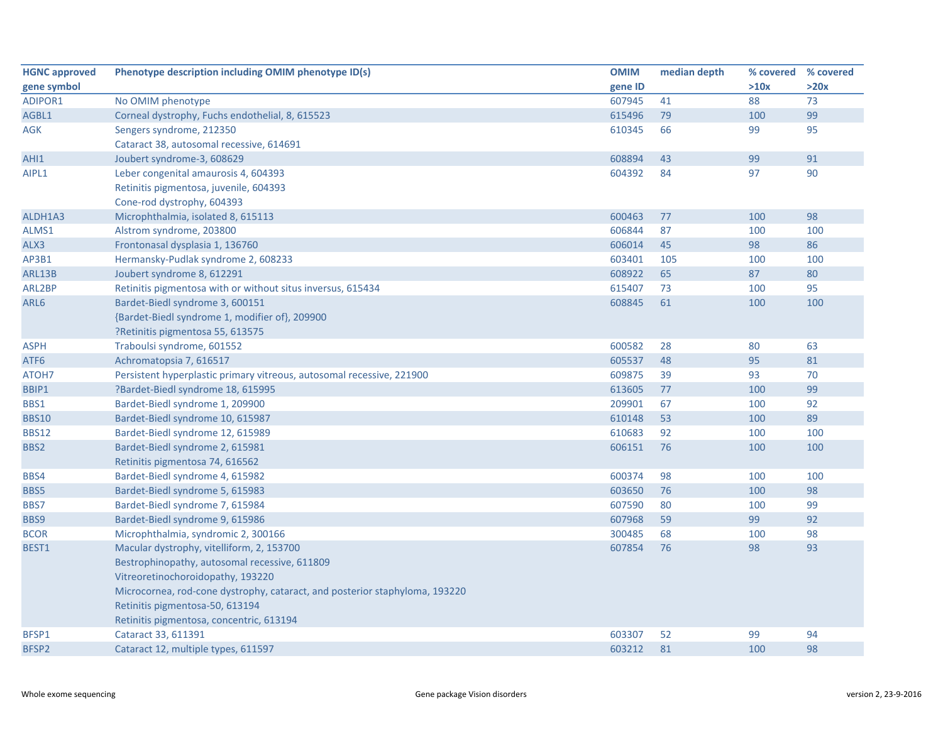| <b>HGNC approved</b> | Phenotype description including OMIM phenotype ID(s)                        | <b>OMIM</b> | median depth | % covered | % covered |
|----------------------|-----------------------------------------------------------------------------|-------------|--------------|-----------|-----------|
| gene symbol          |                                                                             | gene ID     |              | >10x      | >20x      |
| <b>ADIPOR1</b>       | No OMIM phenotype                                                           | 607945      | 41           | 88        | 73        |
| AGBL1                | Corneal dystrophy, Fuchs endothelial, 8, 615523                             | 615496      | 79           | 100       | 99        |
| <b>AGK</b>           | Sengers syndrome, 212350                                                    | 610345      | 66           | 99        | 95        |
|                      | Cataract 38, autosomal recessive, 614691                                    |             |              |           |           |
| AHI1                 | Joubert syndrome-3, 608629                                                  | 608894      | 43           | 99        | 91        |
| AIPL1                | Leber congenital amaurosis 4, 604393                                        | 604392      | 84           | 97        | 90        |
|                      | Retinitis pigmentosa, juvenile, 604393                                      |             |              |           |           |
|                      | Cone-rod dystrophy, 604393                                                  |             |              |           |           |
| ALDH1A3              | Microphthalmia, isolated 8, 615113                                          | 600463      | 77           | 100       | 98        |
| ALMS1                | Alstrom syndrome, 203800                                                    | 606844      | 87           | 100       | 100       |
| ALX3                 | Frontonasal dysplasia 1, 136760                                             | 606014      | 45           | 98        | 86        |
| AP3B1                | Hermansky-Pudlak syndrome 2, 608233                                         | 603401      | 105          | 100       | 100       |
| ARL13B               | Joubert syndrome 8, 612291                                                  | 608922      | 65           | 87        | 80        |
| ARL2BP               | Retinitis pigmentosa with or without situs inversus, 615434                 | 615407      | 73           | 100       | 95        |
| ARL6                 | Bardet-Biedl syndrome 3, 600151                                             | 608845      | 61           | 100       | 100       |
|                      | {Bardet-Biedl syndrome 1, modifier of}, 209900                              |             |              |           |           |
|                      | ?Retinitis pigmentosa 55, 613575                                            |             |              |           |           |
| <b>ASPH</b>          | Traboulsi syndrome, 601552                                                  | 600582      | 28           | 80        | 63        |
| ATF <sub>6</sub>     | Achromatopsia 7, 616517                                                     | 605537      | 48           | 95        | 81        |
| ATOH7                | Persistent hyperplastic primary vitreous, autosomal recessive, 221900       | 609875      | 39           | 93        | 70        |
| BBIP1                | ?Bardet-Biedl syndrome 18, 615995                                           | 613605      | 77           | 100       | 99        |
| BBS1                 | Bardet-Biedl syndrome 1, 209900                                             | 209901      | 67           | 100       | 92        |
| <b>BBS10</b>         | Bardet-Biedl syndrome 10, 615987                                            | 610148      | 53           | 100       | 89        |
| <b>BBS12</b>         | Bardet-Biedl syndrome 12, 615989                                            | 610683      | 92           | 100       | 100       |
| BBS2                 | Bardet-Biedl syndrome 2, 615981                                             | 606151      | 76           | 100       | 100       |
|                      | Retinitis pigmentosa 74, 616562                                             |             |              |           |           |
| BBS4                 | Bardet-Biedl syndrome 4, 615982                                             | 600374      | 98           | 100       | 100       |
| BBS5                 | Bardet-Biedl syndrome 5, 615983                                             | 603650      | 76           | 100       | 98        |
| BBS7                 | Bardet-Biedl syndrome 7, 615984                                             | 607590      | 80           | 100       | 99        |
| BBS9                 | Bardet-Biedl syndrome 9, 615986                                             | 607968      | 59           | 99        | 92        |
| <b>BCOR</b>          | Microphthalmia, syndromic 2, 300166                                         | 300485      | 68           | 100       | 98        |
| BEST1                | Macular dystrophy, vitelliform, 2, 153700                                   | 607854      | 76           | 98        | 93        |
|                      | Bestrophinopathy, autosomal recessive, 611809                               |             |              |           |           |
|                      | Vitreoretinochoroidopathy, 193220                                           |             |              |           |           |
|                      | Microcornea, rod-cone dystrophy, cataract, and posterior staphyloma, 193220 |             |              |           |           |
|                      | Retinitis pigmentosa-50, 613194                                             |             |              |           |           |
|                      | Retinitis pigmentosa, concentric, 613194                                    |             |              |           |           |
| BFSP1                | Cataract 33, 611391                                                         | 603307      | 52           | 99        | 94        |
| BFSP2                | Cataract 12, multiple types, 611597                                         | 603212      | 81           | 100       | 98        |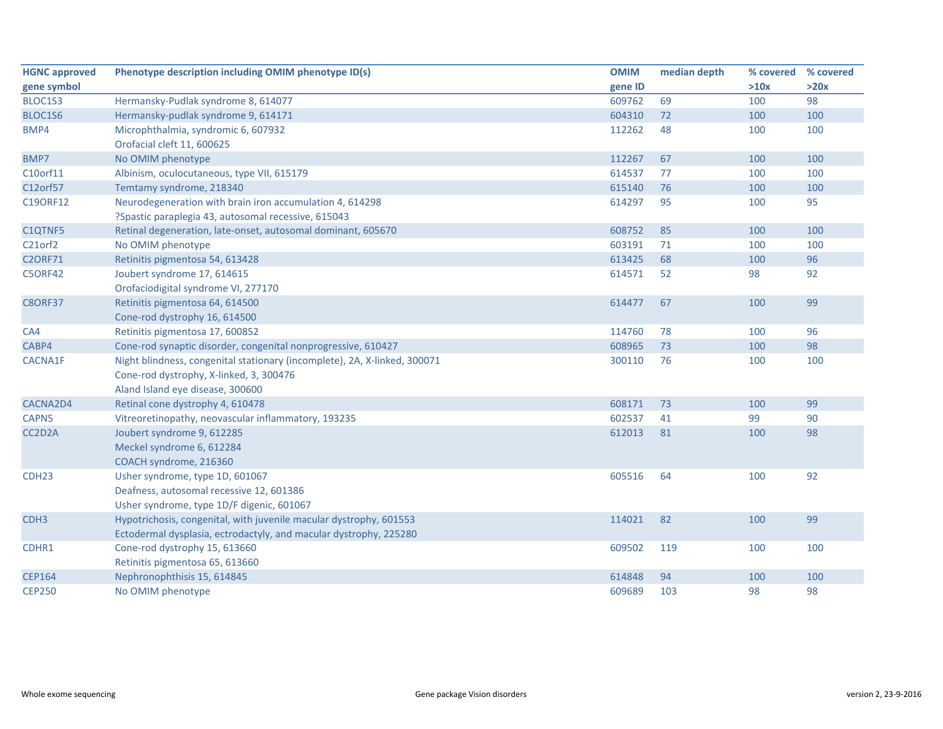| <b>HGNC approved</b>             | Phenotype description including OMIM phenotype ID(s)                      | <b>OMIM</b> | median depth | % covered | % covered |
|----------------------------------|---------------------------------------------------------------------------|-------------|--------------|-----------|-----------|
| gene symbol                      |                                                                           | gene ID     |              | >10x      | >20x      |
| BLOC1S3                          | Hermansky-Pudlak syndrome 8, 614077                                       | 609762      | 69           | 100       | 98        |
| BLOC1S6                          | Hermansky-pudlak syndrome 9, 614171                                       | 604310      | 72           | 100       | 100       |
| BMP4                             | Microphthalmia, syndromic 6, 607932                                       | 112262      | 48           | 100       | 100       |
|                                  | Orofacial cleft 11, 600625                                                |             |              |           |           |
| BMP7                             | No OMIM phenotype                                                         | 112267      | 67           | 100       | 100       |
| C10orf11                         | Albinism, oculocutaneous, type VII, 615179                                | 614537      | 77           | 100       | 100       |
| C12orf57                         | Temtamy syndrome, 218340                                                  | 615140      | 76           | 100       | 100       |
| C19ORF12                         | Neurodegeneration with brain iron accumulation 4, 614298                  | 614297      | 95           | 100       | 95        |
|                                  | ?Spastic paraplegia 43, autosomal recessive, 615043                       |             |              |           |           |
| C1QTNF5                          | Retinal degeneration, late-onset, autosomal dominant, 605670              | 608752      | 85           | 100       | 100       |
| C <sub>21</sub> orf <sub>2</sub> | No OMIM phenotype                                                         | 603191      | 71           | 100       | 100       |
| <b>C2ORF71</b>                   | Retinitis pigmentosa 54, 613428                                           | 613425      | 68           | 100       | 96        |
| <b>C5ORF42</b>                   | Joubert syndrome 17, 614615                                               | 614571      | 52           | 98        | 92        |
|                                  | Orofaciodigital syndrome VI, 277170                                       |             |              |           |           |
| <b>C8ORF37</b>                   | Retinitis pigmentosa 64, 614500                                           | 614477      | 67           | 100       | 99        |
|                                  | Cone-rod dystrophy 16, 614500                                             |             |              |           |           |
| CA4                              | Retinitis pigmentosa 17, 600852                                           | 114760      | 78           | 100       | 96        |
| CABP4                            | Cone-rod synaptic disorder, congenital nonprogressive, 610427             | 608965      | 73           | 100       | 98        |
| CACNA1F                          | Night blindness, congenital stationary (incomplete), 2A, X-linked, 300071 | 300110      | 76           | 100       | 100       |
|                                  | Cone-rod dystrophy, X-linked, 3, 300476                                   |             |              |           |           |
|                                  | Aland Island eye disease, 300600                                          |             |              |           |           |
| CACNA2D4                         | Retinal cone dystrophy 4, 610478                                          | 608171      | 73           | 100       | 99        |
| CAPN5                            | Vitreoretinopathy, neovascular inflammatory, 193235                       | 602537      | 41           | 99        | 90        |
| CC2D2A                           | Joubert syndrome 9, 612285                                                | 612013      | 81           | 100       | 98        |
|                                  | Meckel syndrome 6, 612284                                                 |             |              |           |           |
|                                  | COACH syndrome, 216360                                                    |             |              |           |           |
| CDH <sub>23</sub>                | Usher syndrome, type 1D, 601067                                           | 605516      | 64           | 100       | 92        |
|                                  | Deafness, autosomal recessive 12, 601386                                  |             |              |           |           |
|                                  | Usher syndrome, type 1D/F digenic, 601067                                 |             |              |           |           |
| CDH <sub>3</sub>                 | Hypotrichosis, congenital, with juvenile macular dystrophy, 601553        | 114021      | 82           | 100       | 99        |
|                                  | Ectodermal dysplasia, ectrodactyly, and macular dystrophy, 225280         |             |              |           |           |
| CDHR1                            | Cone-rod dystrophy 15, 613660                                             | 609502      | 119          | 100       | 100       |
|                                  | Retinitis pigmentosa 65, 613660                                           |             |              |           |           |
| <b>CEP164</b>                    | Nephronophthisis 15, 614845                                               | 614848      | 94           | 100       | 100       |
| <b>CEP250</b>                    | No OMIM phenotype                                                         | 609689      | 103          | 98        | 98        |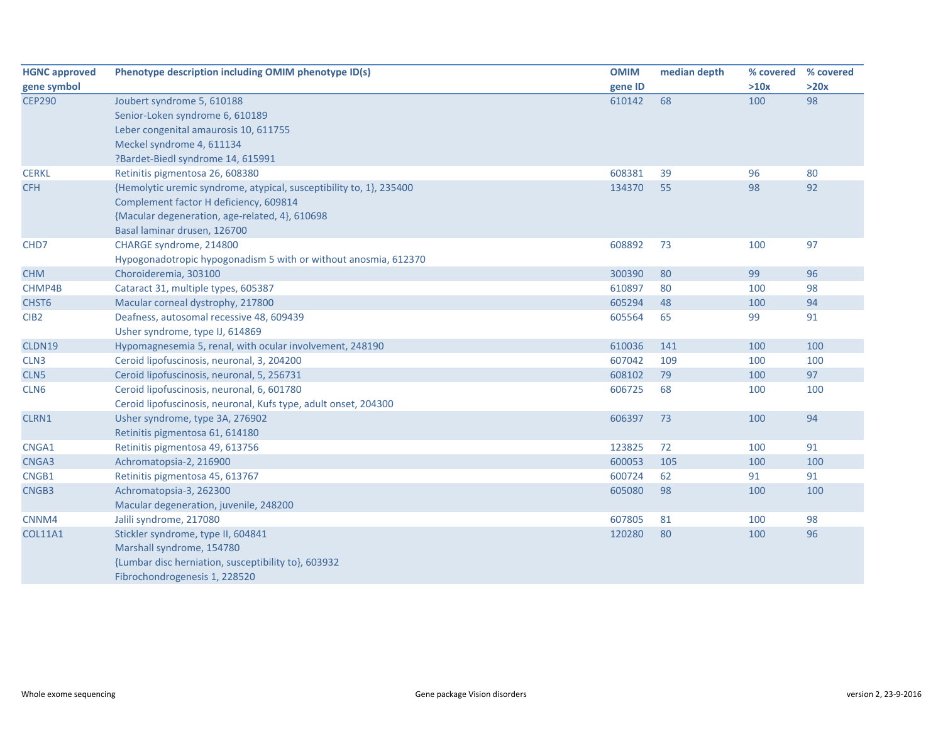| <b>HGNC approved</b> | Phenotype description including OMIM phenotype ID(s)                | <b>OMIM</b> | median depth | % covered | % covered |
|----------------------|---------------------------------------------------------------------|-------------|--------------|-----------|-----------|
| gene symbol          |                                                                     | gene ID     |              | >10x      | >20x      |
| <b>CEP290</b>        | Joubert syndrome 5, 610188                                          | 610142      | 68           | 100       | 98        |
|                      | Senior-Loken syndrome 6, 610189                                     |             |              |           |           |
|                      | Leber congenital amaurosis 10, 611755                               |             |              |           |           |
|                      | Meckel syndrome 4, 611134                                           |             |              |           |           |
|                      | ?Bardet-Biedl syndrome 14, 615991                                   |             |              |           |           |
| <b>CERKL</b>         | Retinitis pigmentosa 26, 608380                                     | 608381      | 39           | 96        | 80        |
| <b>CFH</b>           | {Hemolytic uremic syndrome, atypical, susceptibility to, 1}, 235400 | 134370      | 55           | 98        | 92        |
|                      | Complement factor H deficiency, 609814                              |             |              |           |           |
|                      | {Macular degeneration, age-related, 4}, 610698                      |             |              |           |           |
|                      | Basal laminar drusen, 126700                                        |             |              |           |           |
| CHD7                 | CHARGE syndrome, 214800                                             | 608892      | 73           | 100       | 97        |
|                      | Hypogonadotropic hypogonadism 5 with or without anosmia, 612370     |             |              |           |           |
| <b>CHM</b>           | Choroideremia, 303100                                               | 300390      | 80           | 99        | 96        |
| CHMP4B               | Cataract 31, multiple types, 605387                                 | 610897      | 80           | 100       | 98        |
| CHST <sub>6</sub>    | Macular corneal dystrophy, 217800                                   | 605294      | 48           | 100       | 94        |
| CIB <sub>2</sub>     | Deafness, autosomal recessive 48, 609439                            | 605564      | 65           | 99        | 91        |
|                      | Usher syndrome, type IJ, 614869                                     |             |              |           |           |
| CLDN19               | Hypomagnesemia 5, renal, with ocular involvement, 248190            | 610036      | 141          | 100       | 100       |
| CLN <sub>3</sub>     | Ceroid lipofuscinosis, neuronal, 3, 204200                          | 607042      | 109          | 100       | 100       |
| CLN <sub>5</sub>     | Ceroid lipofuscinosis, neuronal, 5, 256731                          | 608102      | 79           | 100       | 97        |
| CLN <sub>6</sub>     | Ceroid lipofuscinosis, neuronal, 6, 601780                          | 606725      | 68           | 100       | 100       |
|                      | Ceroid lipofuscinosis, neuronal, Kufs type, adult onset, 204300     |             |              |           |           |
| CLRN1                | Usher syndrome, type 3A, 276902                                     | 606397      | 73           | 100       | 94        |
|                      | Retinitis pigmentosa 61, 614180                                     |             |              |           |           |
| CNGA1                | Retinitis pigmentosa 49, 613756                                     | 123825      | 72           | 100       | 91        |
| CNGA3                | Achromatopsia-2, 216900                                             | 600053      | 105          | 100       | 100       |
| CNGB1                | Retinitis pigmentosa 45, 613767                                     | 600724      | 62           | 91        | 91        |
| CNGB3                | Achromatopsia-3, 262300                                             | 605080      | 98           | 100       | 100       |
|                      | Macular degeneration, juvenile, 248200                              |             |              |           |           |
| CNNM4                | Jalili syndrome, 217080                                             | 607805      | 81           | 100       | 98        |
| <b>COL11A1</b>       | Stickler syndrome, type II, 604841                                  | 120280      | 80           | 100       | 96        |
|                      | Marshall syndrome, 154780                                           |             |              |           |           |
|                      | {Lumbar disc herniation, susceptibility to}, 603932                 |             |              |           |           |
|                      | Fibrochondrogenesis 1, 228520                                       |             |              |           |           |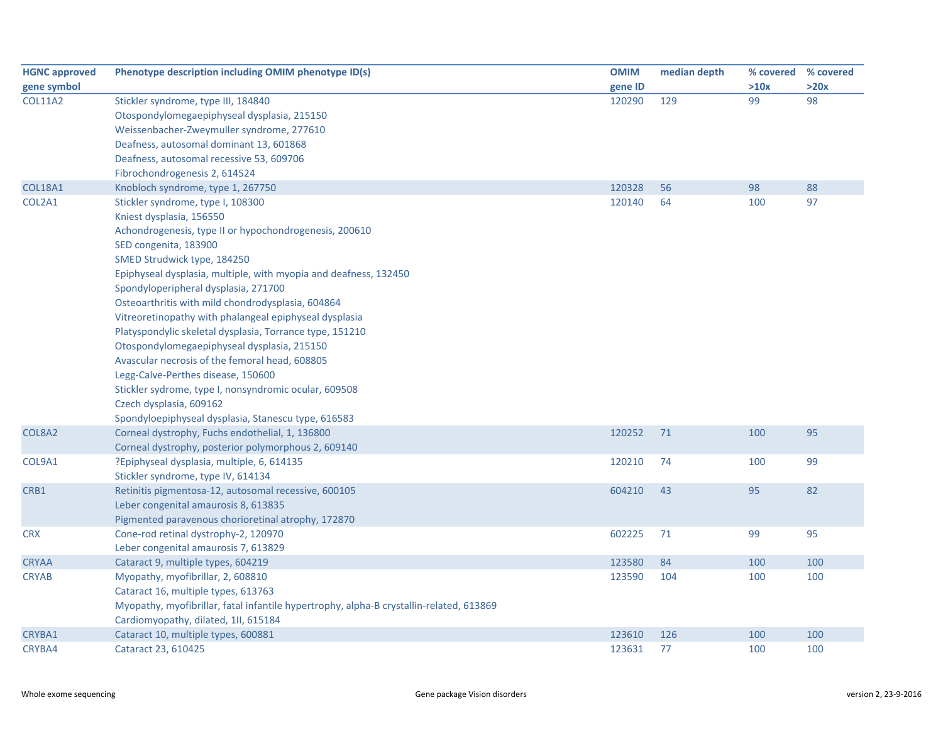| <b>HGNC approved</b> | Phenotype description including OMIM phenotype ID(s)                                    | <b>OMIM</b> | median depth |      | % covered % covered |
|----------------------|-----------------------------------------------------------------------------------------|-------------|--------------|------|---------------------|
| gene symbol          |                                                                                         | gene ID     |              | >10x | >20x                |
| <b>COL11A2</b>       | Stickler syndrome, type III, 184840                                                     | 120290      | 129          | 99   | 98                  |
|                      | Otospondylomegaepiphyseal dysplasia, 215150                                             |             |              |      |                     |
|                      | Weissenbacher-Zweymuller syndrome, 277610                                               |             |              |      |                     |
|                      | Deafness, autosomal dominant 13, 601868                                                 |             |              |      |                     |
|                      | Deafness, autosomal recessive 53, 609706                                                |             |              |      |                     |
|                      | Fibrochondrogenesis 2, 614524                                                           |             |              |      |                     |
| <b>COL18A1</b>       | Knobloch syndrome, type 1, 267750                                                       | 120328      | 56           | 98   | 88                  |
| COL2A1               | Stickler syndrome, type I, 108300                                                       | 120140      | 64           | 100  | 97                  |
|                      | Kniest dysplasia, 156550                                                                |             |              |      |                     |
|                      | Achondrogenesis, type II or hypochondrogenesis, 200610                                  |             |              |      |                     |
|                      | SED congenita, 183900                                                                   |             |              |      |                     |
|                      | SMED Strudwick type, 184250                                                             |             |              |      |                     |
|                      | Epiphyseal dysplasia, multiple, with myopia and deafness, 132450                        |             |              |      |                     |
|                      | Spondyloperipheral dysplasia, 271700                                                    |             |              |      |                     |
|                      | Osteoarthritis with mild chondrodysplasia, 604864                                       |             |              |      |                     |
|                      | Vitreoretinopathy with phalangeal epiphyseal dysplasia                                  |             |              |      |                     |
|                      | Platyspondylic skeletal dysplasia, Torrance type, 151210                                |             |              |      |                     |
|                      | Otospondylomegaepiphyseal dysplasia, 215150                                             |             |              |      |                     |
|                      | Avascular necrosis of the femoral head, 608805                                          |             |              |      |                     |
|                      | Legg-Calve-Perthes disease, 150600                                                      |             |              |      |                     |
|                      | Stickler sydrome, type I, nonsyndromic ocular, 609508                                   |             |              |      |                     |
|                      | Czech dysplasia, 609162                                                                 |             |              |      |                     |
|                      | Spondyloepiphyseal dysplasia, Stanescu type, 616583                                     |             |              |      |                     |
| COL8A2               | Corneal dystrophy, Fuchs endothelial, 1, 136800                                         | 120252      | 71           | 100  | 95                  |
|                      | Corneal dystrophy, posterior polymorphous 2, 609140                                     |             |              |      |                     |
| COL9A1               | ?Epiphyseal dysplasia, multiple, 6, 614135                                              | 120210      | 74           | 100  | 99                  |
|                      | Stickler syndrome, type IV, 614134                                                      |             |              |      |                     |
| CRB1                 | Retinitis pigmentosa-12, autosomal recessive, 600105                                    | 604210      | 43           | 95   | 82                  |
|                      | Leber congenital amaurosis 8, 613835                                                    |             |              |      |                     |
|                      | Pigmented paravenous chorioretinal atrophy, 172870                                      |             |              |      |                     |
| <b>CRX</b>           | Cone-rod retinal dystrophy-2, 120970                                                    | 602225      | 71           | 99   | 95                  |
|                      | Leber congenital amaurosis 7, 613829                                                    |             |              |      |                     |
| <b>CRYAA</b>         | Cataract 9, multiple types, 604219                                                      | 123580      | 84           | 100  | 100                 |
| <b>CRYAB</b>         | Myopathy, myofibrillar, 2, 608810                                                       | 123590      | 104          | 100  | 100                 |
|                      | Cataract 16, multiple types, 613763                                                     |             |              |      |                     |
|                      | Myopathy, myofibrillar, fatal infantile hypertrophy, alpha-B crystallin-related, 613869 |             |              |      |                     |
|                      | Cardiomyopathy, dilated, 1ll, 615184                                                    |             |              |      |                     |
| CRYBA1               | Cataract 10, multiple types, 600881                                                     | 123610      | 126          | 100  | 100                 |
| CRYBA4               | Cataract 23, 610425                                                                     | 123631      | 77           | 100  | 100                 |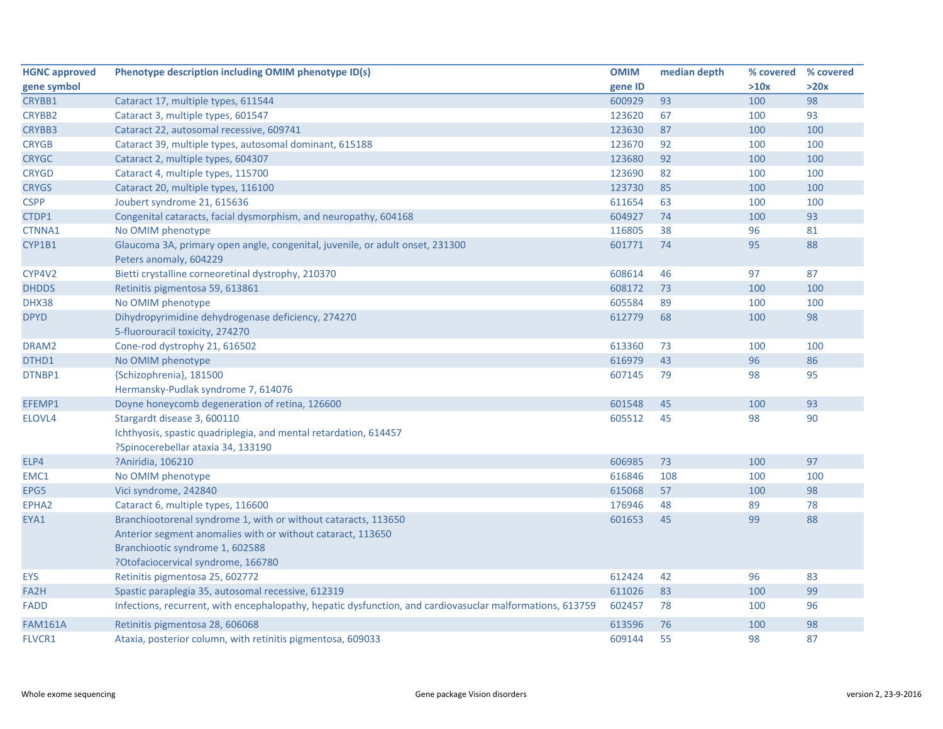| <b>HGNC approved</b> | Phenotype description including OMIM phenotype ID(s)                                                      | <b>OMIM</b> | median depth | % covered % covered |      |
|----------------------|-----------------------------------------------------------------------------------------------------------|-------------|--------------|---------------------|------|
| gene symbol          |                                                                                                           | gene ID     |              | >10x                | >20x |
| CRYBB1               | Cataract 17, multiple types, 611544                                                                       | 600929      | 93           | 100                 | 98   |
| <b>CRYBB2</b>        | Cataract 3, multiple types, 601547                                                                        | 123620      | 67           | 100                 | 93   |
| CRYBB3               | Cataract 22, autosomal recessive, 609741                                                                  | 123630      | 87           | 100                 | 100  |
| <b>CRYGB</b>         | Cataract 39, multiple types, autosomal dominant, 615188                                                   | 123670      | 92           | 100                 | 100  |
| <b>CRYGC</b>         | Cataract 2, multiple types, 604307                                                                        | 123680      | 92           | 100                 | 100  |
| <b>CRYGD</b>         | Cataract 4, multiple types, 115700                                                                        | 123690      | 82           | 100                 | 100  |
| <b>CRYGS</b>         | Cataract 20, multiple types, 116100                                                                       | 123730      | 85           | 100                 | 100  |
| <b>CSPP</b>          | Joubert syndrome 21, 615636                                                                               | 611654      | 63           | 100                 | 100  |
| CTDP1                | Congenital cataracts, facial dysmorphism, and neuropathy, 604168                                          | 604927      | 74           | 100                 | 93   |
| CTNNA1               | No OMIM phenotype                                                                                         | 116805      | 38           | 96                  | 81   |
| CYP1B1               | Glaucoma 3A, primary open angle, congenital, juvenile, or adult onset, 231300                             | 601771      | 74           | 95                  | 88   |
|                      | Peters anomaly, 604229                                                                                    |             |              |                     |      |
| CYP4V2               | Bietti crystalline corneoretinal dystrophy, 210370                                                        | 608614      | 46           | 97                  | 87   |
| <b>DHDDS</b>         | Retinitis pigmentosa 59, 613861                                                                           | 608172      | 73           | 100                 | 100  |
| DHX38                | No OMIM phenotype                                                                                         | 605584      | 89           | 100                 | 100  |
| <b>DPYD</b>          | Dihydropyrimidine dehydrogenase deficiency, 274270                                                        | 612779      | 68           | 100                 | 98   |
|                      | 5-fluorouracil toxicity, 274270                                                                           |             |              |                     |      |
| DRAM2                | Cone-rod dystrophy 21, 616502                                                                             | 613360      | 73           | 100                 | 100  |
| DTHD1                | No OMIM phenotype                                                                                         | 616979      | 43           | 96                  | 86   |
| DTNBP1               | {Schizophrenia}, 181500                                                                                   | 607145      | 79           | 98                  | 95   |
|                      | Hermansky-Pudlak syndrome 7, 614076                                                                       |             |              |                     |      |
| EFEMP1               | Doyne honeycomb degeneration of retina, 126600                                                            | 601548      | 45           | 100                 | 93   |
| ELOVL4               | Stargardt disease 3, 600110                                                                               | 605512      | 45           | 98                  | 90   |
|                      | Ichthyosis, spastic quadriplegia, and mental retardation, 614457                                          |             |              |                     |      |
|                      | ?Spinocerebellar ataxia 34, 133190                                                                        |             |              |                     |      |
| ELP4                 | ?Aniridia, 106210                                                                                         | 606985      | 73           | 100                 | 97   |
| EMC1                 | No OMIM phenotype                                                                                         | 616846      | 108          | 100                 | 100  |
| EPG5                 | Vici syndrome, 242840                                                                                     | 615068      | 57           | 100                 | 98   |
| EPHA2                | Cataract 6, multiple types, 116600                                                                        | 176946      | 48           | 89                  | 78   |
| EYA1                 | Branchiootorenal syndrome 1, with or without cataracts, 113650                                            | 601653      | 45           | 99                  | 88   |
|                      | Anterior segment anomalies with or without cataract, 113650                                               |             |              |                     |      |
|                      | Branchiootic syndrome 1, 602588                                                                           |             |              |                     |      |
|                      | ?Otofaciocervical syndrome, 166780                                                                        |             |              |                     |      |
| <b>EYS</b>           | Retinitis pigmentosa 25, 602772                                                                           | 612424      | 42           | 96                  | 83   |
| FA2H                 | Spastic paraplegia 35, autosomal recessive, 612319                                                        | 611026      | 83           | 100                 | 99   |
| <b>FADD</b>          | Infections, recurrent, with encephalopathy, hepatic dysfunction, and cardiovasuclar malformations, 613759 | 602457      | 78           | 100                 | 96   |
| <b>FAM161A</b>       | Retinitis pigmentosa 28, 606068                                                                           | 613596      | 76           | 100                 | 98   |
| FLVCR1               | Ataxia, posterior column, with retinitis pigmentosa, 609033                                               | 609144      | 55           | 98                  | 87   |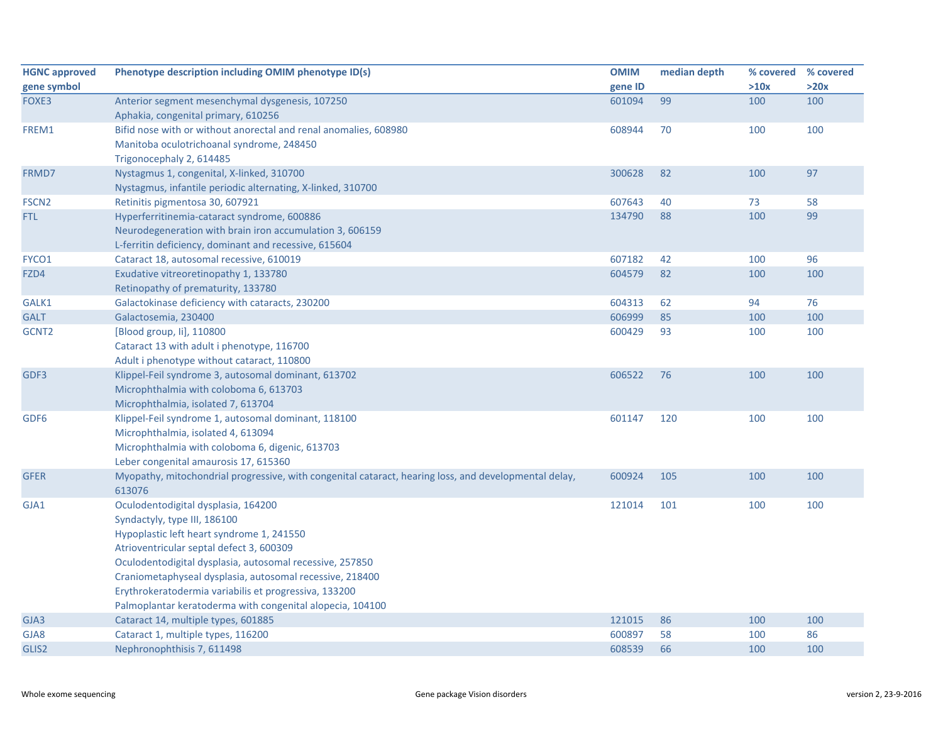| <b>HGNC approved</b> | Phenotype description including OMIM phenotype ID(s)                                                  | <b>OMIM</b> | median depth | % covered | % covered |
|----------------------|-------------------------------------------------------------------------------------------------------|-------------|--------------|-----------|-----------|
| gene symbol          |                                                                                                       | gene ID     |              | >10x      | >20x      |
| FOXE3                | Anterior segment mesenchymal dysgenesis, 107250                                                       | 601094      | 99           | 100       | 100       |
|                      | Aphakia, congenital primary, 610256                                                                   |             |              |           |           |
| FREM1                | Bifid nose with or without anorectal and renal anomalies, 608980                                      | 608944      | 70           | 100       | 100       |
|                      | Manitoba oculotrichoanal syndrome, 248450                                                             |             |              |           |           |
|                      | Trigonocephaly 2, 614485                                                                              |             |              |           |           |
| FRMD7                | Nystagmus 1, congenital, X-linked, 310700                                                             | 300628      | 82           | 100       | 97        |
|                      | Nystagmus, infantile periodic alternating, X-linked, 310700                                           |             |              |           |           |
| FSCN <sub>2</sub>    | Retinitis pigmentosa 30, 607921                                                                       | 607643      | 40           | 73        | 58        |
| FTL                  | Hyperferritinemia-cataract syndrome, 600886                                                           | 134790      | 88           | 100       | 99        |
|                      | Neurodegeneration with brain iron accumulation 3, 606159                                              |             |              |           |           |
|                      | L-ferritin deficiency, dominant and recessive, 615604                                                 |             |              |           |           |
| FYCO1                | Cataract 18, autosomal recessive, 610019                                                              | 607182      | 42           | 100       | 96        |
| FZD4                 | Exudative vitreoretinopathy 1, 133780                                                                 | 604579      | 82           | 100       | 100       |
|                      | Retinopathy of prematurity, 133780                                                                    |             |              |           |           |
| GALK1                | Galactokinase deficiency with cataracts, 230200                                                       | 604313      | 62           | 94        | 76        |
| <b>GALT</b>          | Galactosemia, 230400                                                                                  | 606999      | 85           | 100       | 100       |
| GCNT <sub>2</sub>    | [Blood group, li], 110800                                                                             | 600429      | 93           | 100       | 100       |
|                      | Cataract 13 with adult i phenotype, 116700                                                            |             |              |           |           |
|                      | Adult i phenotype without cataract, 110800                                                            |             |              |           |           |
| GDF3                 | Klippel-Feil syndrome 3, autosomal dominant, 613702                                                   | 606522      | 76           | 100       | 100       |
|                      | Microphthalmia with coloboma 6, 613703                                                                |             |              |           |           |
|                      | Microphthalmia, isolated 7, 613704                                                                    |             |              |           |           |
| GDF <sub>6</sub>     | Klippel-Feil syndrome 1, autosomal dominant, 118100                                                   | 601147      | 120          | 100       | 100       |
|                      | Microphthalmia, isolated 4, 613094                                                                    |             |              |           |           |
|                      | Microphthalmia with coloboma 6, digenic, 613703                                                       |             |              |           |           |
|                      | Leber congenital amaurosis 17, 615360                                                                 |             |              |           |           |
| <b>GFER</b>          | Myopathy, mitochondrial progressive, with congenital cataract, hearing loss, and developmental delay, | 600924      | 105          | 100       | 100       |
|                      | 613076                                                                                                |             |              |           |           |
| GJA1                 | Oculodentodigital dysplasia, 164200                                                                   | 121014      | 101          | 100       | 100       |
|                      | Syndactyly, type III, 186100                                                                          |             |              |           |           |
|                      | Hypoplastic left heart syndrome 1, 241550                                                             |             |              |           |           |
|                      | Atrioventricular septal defect 3, 600309                                                              |             |              |           |           |
|                      | Oculodentodigital dysplasia, autosomal recessive, 257850                                              |             |              |           |           |
|                      | Craniometaphyseal dysplasia, autosomal recessive, 218400                                              |             |              |           |           |
|                      | Erythrokeratodermia variabilis et progressiva, 133200                                                 |             |              |           |           |
|                      | Palmoplantar keratoderma with congenital alopecia, 104100                                             |             |              |           |           |
| GJA3                 | Cataract 14, multiple types, 601885                                                                   | 121015      | 86           | 100       | 100       |
| GJA8                 | Cataract 1, multiple types, 116200                                                                    | 600897      | 58           | 100       | 86        |
| GLIS2                | Nephronophthisis 7, 611498                                                                            | 608539      | 66           | 100       | 100       |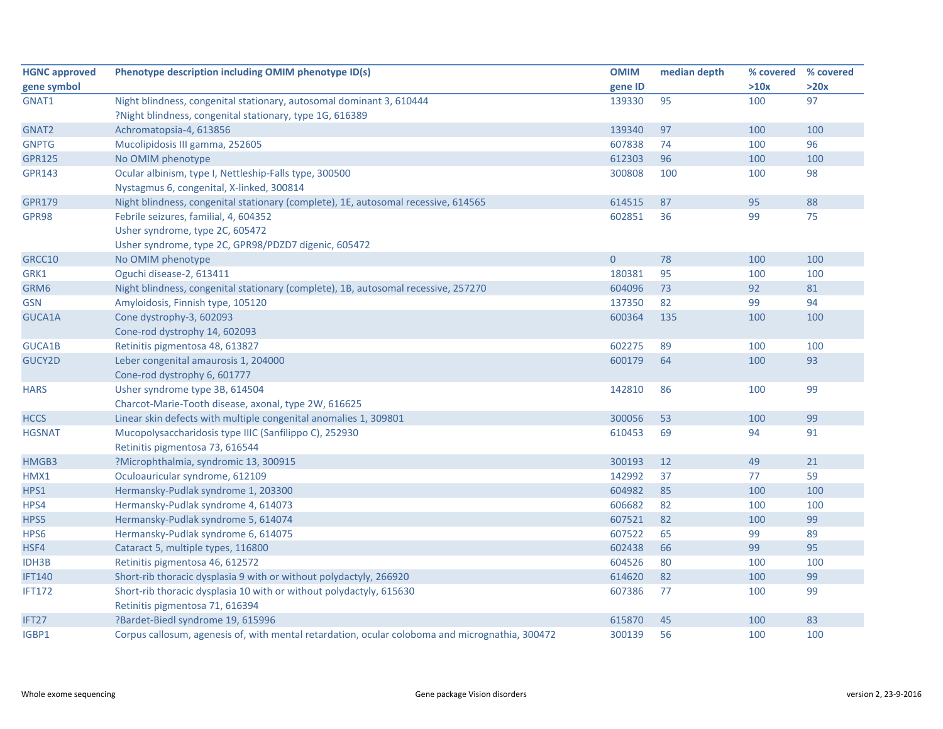| <b>HGNC approved</b> | Phenotype description including OMIM phenotype ID(s)                                            | <b>OMIM</b>    | median depth |      | % covered % covered |
|----------------------|-------------------------------------------------------------------------------------------------|----------------|--------------|------|---------------------|
| gene symbol          |                                                                                                 | gene ID        |              | >10x | >20x                |
| GNAT1                | Night blindness, congenital stationary, autosomal dominant 3, 610444                            | 139330         | 95           | 100  | 97                  |
|                      | ?Night blindness, congenital stationary, type 1G, 616389                                        |                |              |      |                     |
| GNAT2                | Achromatopsia-4, 613856                                                                         | 139340         | 97           | 100  | 100                 |
| <b>GNPTG</b>         | Mucolipidosis III gamma, 252605                                                                 | 607838         | 74           | 100  | 96                  |
| <b>GPR125</b>        | No OMIM phenotype                                                                               | 612303         | 96           | 100  | 100                 |
| <b>GPR143</b>        | Ocular albinism, type I, Nettleship-Falls type, 300500                                          | 300808         | 100          | 100  | 98                  |
|                      | Nystagmus 6, congenital, X-linked, 300814                                                       |                |              |      |                     |
| <b>GPR179</b>        | Night blindness, congenital stationary (complete), 1E, autosomal recessive, 614565              | 614515         | 87           | 95   | 88                  |
| GPR98                | Febrile seizures, familial, 4, 604352                                                           | 602851         | 36           | 99   | 75                  |
|                      | Usher syndrome, type 2C, 605472                                                                 |                |              |      |                     |
|                      | Usher syndrome, type 2C, GPR98/PDZD7 digenic, 605472                                            |                |              |      |                     |
| GRCC10               | No OMIM phenotype                                                                               | $\overline{0}$ | 78           | 100  | 100                 |
| GRK1                 | Oguchi disease-2, 613411                                                                        | 180381         | 95           | 100  | 100                 |
| GRM6                 | Night blindness, congenital stationary (complete), 1B, autosomal recessive, 257270              | 604096         | 73           | 92   | 81                  |
| <b>GSN</b>           | Amyloidosis, Finnish type, 105120                                                               | 137350         | 82           | 99   | 94                  |
| GUCA1A               | Cone dystrophy-3, 602093                                                                        | 600364         | 135          | 100  | 100                 |
|                      | Cone-rod dystrophy 14, 602093                                                                   |                |              |      |                     |
| <b>GUCA1B</b>        | Retinitis pigmentosa 48, 613827                                                                 | 602275         | 89           | 100  | 100                 |
| GUCY2D               | Leber congenital amaurosis 1, 204000                                                            | 600179         | 64           | 100  | 93                  |
|                      | Cone-rod dystrophy 6, 601777                                                                    |                |              |      |                     |
| <b>HARS</b>          | Usher syndrome type 3B, 614504                                                                  | 142810         | 86           | 100  | 99                  |
|                      | Charcot-Marie-Tooth disease, axonal, type 2W, 616625                                            |                |              |      |                     |
| <b>HCCS</b>          | Linear skin defects with multiple congenital anomalies 1, 309801                                | 300056         | 53           | 100  | 99                  |
| <b>HGSNAT</b>        | Mucopolysaccharidosis type IIIC (Sanfilippo C), 252930                                          | 610453         | 69           | 94   | 91                  |
|                      | Retinitis pigmentosa 73, 616544                                                                 |                |              |      |                     |
| HMGB3                | ?Microphthalmia, syndromic 13, 300915                                                           | 300193         | 12           | 49   | 21                  |
| HMX1                 | Oculoauricular syndrome, 612109                                                                 | 142992         | 37           | 77   | 59                  |
| HPS1                 | Hermansky-Pudlak syndrome 1, 203300                                                             | 604982         | 85           | 100  | 100                 |
| HPS4                 | Hermansky-Pudlak syndrome 4, 614073                                                             | 606682         | 82           | 100  | 100                 |
| HPS5                 | Hermansky-Pudlak syndrome 5, 614074                                                             | 607521         | 82           | 100  | 99                  |
| HPS6                 | Hermansky-Pudlak syndrome 6, 614075                                                             | 607522         | 65           | 99   | 89                  |
| HSF4                 | Cataract 5, multiple types, 116800                                                              | 602438         | 66           | 99   | 95                  |
| IDH3B                | Retinitis pigmentosa 46, 612572                                                                 | 604526         | 80           | 100  | 100                 |
| <b>IFT140</b>        | Short-rib thoracic dysplasia 9 with or without polydactyly, 266920                              | 614620         | 82           | 100  | 99                  |
| <b>IFT172</b>        | Short-rib thoracic dysplasia 10 with or without polydactyly, 615630                             | 607386         | 77           | 100  | 99                  |
|                      | Retinitis pigmentosa 71, 616394                                                                 |                |              |      |                     |
| IFT27                | ?Bardet-Biedl syndrome 19, 615996                                                               | 615870         | 45           | 100  | 83                  |
| IGBP1                | Corpus callosum, agenesis of, with mental retardation, ocular coloboma and micrognathia, 300472 | 300139         | 56           | 100  | 100                 |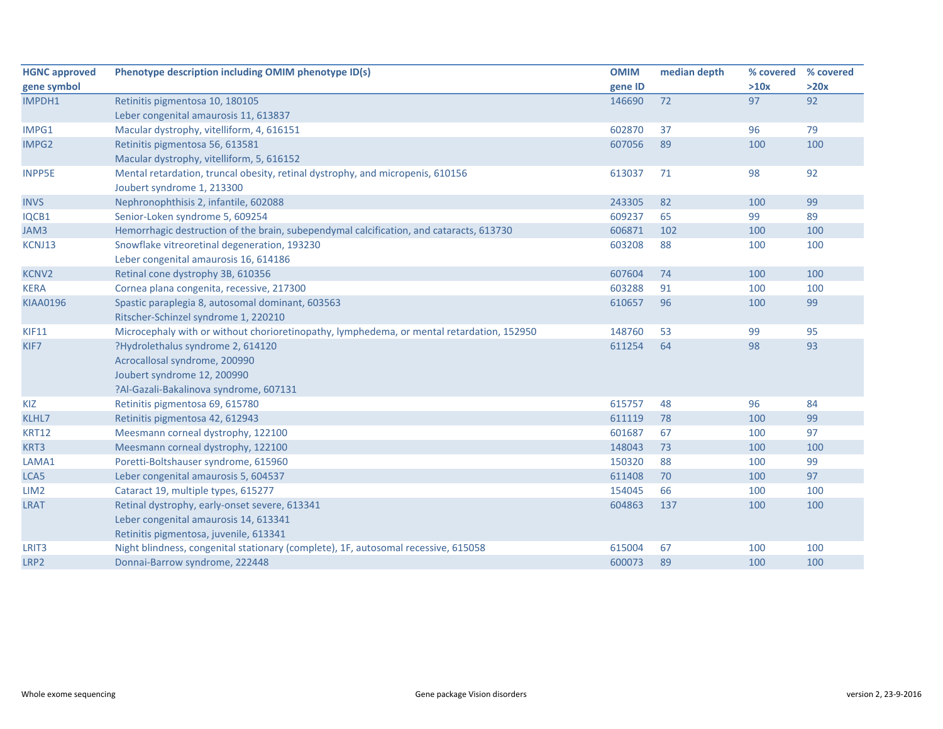| <b>HGNC approved</b> | Phenotype description including OMIM phenotype ID(s)                                      | <b>OMIM</b> | median depth | % covered | % covered |
|----------------------|-------------------------------------------------------------------------------------------|-------------|--------------|-----------|-----------|
| gene symbol          |                                                                                           | gene ID     |              | >10x      | >20x      |
| IMPDH1               | Retinitis pigmentosa 10, 180105                                                           | 146690      | 72           | 97        | 92        |
|                      | Leber congenital amaurosis 11, 613837                                                     |             |              |           |           |
| IMPG1                | Macular dystrophy, vitelliform, 4, 616151                                                 | 602870      | 37           | 96        | 79        |
| IMPG2                | Retinitis pigmentosa 56, 613581                                                           | 607056      | 89           | 100       | 100       |
|                      | Macular dystrophy, vitelliform, 5, 616152                                                 |             |              |           |           |
| <b>INPP5E</b>        | Mental retardation, truncal obesity, retinal dystrophy, and micropenis, 610156            | 613037      | 71           | 98        | 92        |
|                      | Joubert syndrome 1, 213300                                                                |             |              |           |           |
| <b>INVS</b>          | Nephronophthisis 2, infantile, 602088                                                     | 243305      | 82           | 100       | 99        |
| IQCB1                | Senior-Loken syndrome 5, 609254                                                           | 609237      | 65           | 99        | 89        |
| JAM3                 | Hemorrhagic destruction of the brain, subependymal calcification, and cataracts, 613730   | 606871      | 102          | 100       | 100       |
| KCNJ13               | Snowflake vitreoretinal degeneration, 193230                                              | 603208      | 88           | 100       | 100       |
|                      | Leber congenital amaurosis 16, 614186                                                     |             |              |           |           |
| <b>KCNV2</b>         | Retinal cone dystrophy 3B, 610356                                                         | 607604      | 74           | 100       | 100       |
| <b>KERA</b>          | Cornea plana congenita, recessive, 217300                                                 | 603288      | 91           | 100       | 100       |
| <b>KIAA0196</b>      | Spastic paraplegia 8, autosomal dominant, 603563                                          | 610657      | 96           | 100       | 99        |
|                      | Ritscher-Schinzel syndrome 1, 220210                                                      |             |              |           |           |
| <b>KIF11</b>         | Microcephaly with or without chorioretinopathy, lymphedema, or mental retardation, 152950 | 148760      | 53           | 99        | 95        |
| KIF7                 | ?Hydrolethalus syndrome 2, 614120                                                         | 611254      | 64           | 98        | 93        |
|                      | Acrocallosal syndrome, 200990                                                             |             |              |           |           |
|                      | Joubert syndrome 12, 200990                                                               |             |              |           |           |
|                      | ?Al-Gazali-Bakalinova syndrome, 607131                                                    |             |              |           |           |
| KIZ                  | Retinitis pigmentosa 69, 615780                                                           | 615757      | 48           | 96        | 84        |
| KLHL7                | Retinitis pigmentosa 42, 612943                                                           | 611119      | 78           | 100       | 99        |
| <b>KRT12</b>         | Meesmann corneal dystrophy, 122100                                                        | 601687      | 67           | 100       | 97        |
| KRT3                 | Meesmann corneal dystrophy, 122100                                                        | 148043      | 73           | 100       | 100       |
| LAMA1                | Poretti-Boltshauser syndrome, 615960                                                      | 150320      | 88           | 100       | 99        |
| LCA5                 | Leber congenital amaurosis 5, 604537                                                      | 611408      | 70           | 100       | 97        |
| LIM <sub>2</sub>     | Cataract 19, multiple types, 615277                                                       | 154045      | 66           | 100       | 100       |
| <b>LRAT</b>          | Retinal dystrophy, early-onset severe, 613341                                             | 604863      | 137          | 100       | 100       |
|                      | Leber congenital amaurosis 14, 613341                                                     |             |              |           |           |
|                      | Retinitis pigmentosa, juvenile, 613341                                                    |             |              |           |           |
| LRIT <sub>3</sub>    | Night blindness, congenital stationary (complete), 1F, autosomal recessive, 615058        | 615004      | 67           | 100       | 100       |
| LRP2                 | Donnai-Barrow syndrome, 222448                                                            | 600073      | 89           | 100       | 100       |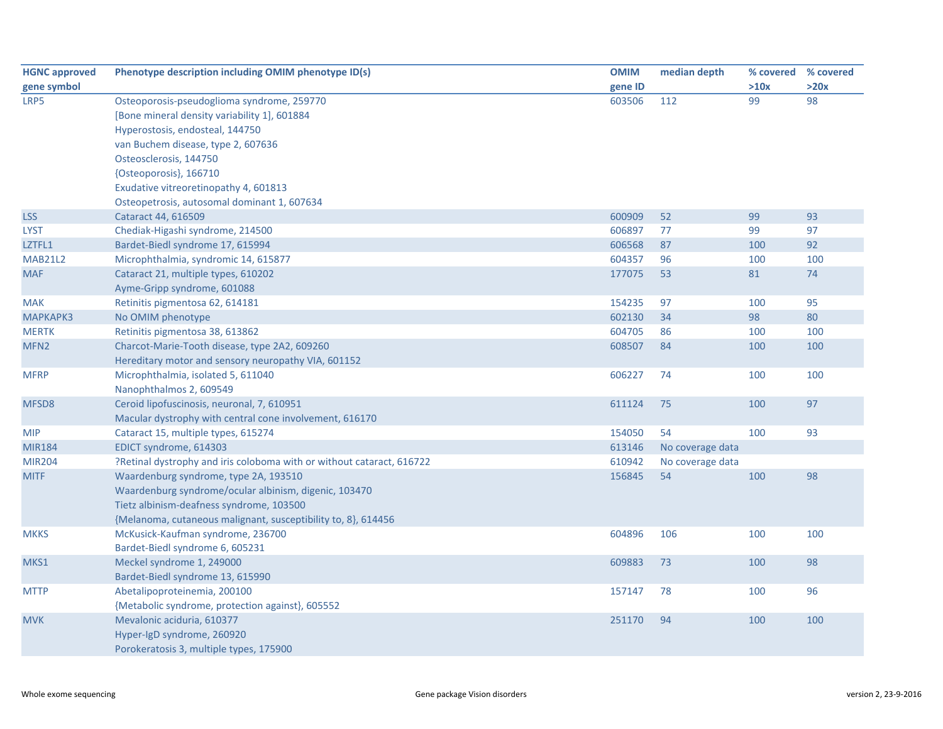| <b>HGNC approved</b> | Phenotype description including OMIM phenotype ID(s)                  | <b>OMIM</b> | median depth     | % covered | % covered |
|----------------------|-----------------------------------------------------------------------|-------------|------------------|-----------|-----------|
| gene symbol          |                                                                       | gene ID     |                  | >10x      | >20x      |
| LRP5                 | Osteoporosis-pseudoglioma syndrome, 259770                            | 603506      | 112              | 99        | 98        |
|                      | [Bone mineral density variability 1], 601884                          |             |                  |           |           |
|                      | Hyperostosis, endosteal, 144750                                       |             |                  |           |           |
|                      | van Buchem disease, type 2, 607636                                    |             |                  |           |           |
|                      | Osteosclerosis, 144750                                                |             |                  |           |           |
|                      | {Osteoporosis}, 166710                                                |             |                  |           |           |
|                      | Exudative vitreoretinopathy 4, 601813                                 |             |                  |           |           |
|                      | Osteopetrosis, autosomal dominant 1, 607634                           |             |                  |           |           |
| <b>LSS</b>           | Cataract 44, 616509                                                   | 600909      | 52               | 99        | 93        |
| <b>LYST</b>          | Chediak-Higashi syndrome, 214500                                      | 606897      | 77               | 99        | 97        |
| LZTFL1               | Bardet-Biedl syndrome 17, 615994                                      | 606568      | 87               | 100       | 92        |
| <b>MAB21L2</b>       | Microphthalmia, syndromic 14, 615877                                  | 604357      | 96               | 100       | 100       |
| <b>MAF</b>           | Cataract 21, multiple types, 610202                                   | 177075      | 53               | 81        | 74        |
|                      | Ayme-Gripp syndrome, 601088                                           |             |                  |           |           |
| <b>MAK</b>           | Retinitis pigmentosa 62, 614181                                       | 154235      | 97               | 100       | 95        |
| MAPKAPK3             | No OMIM phenotype                                                     | 602130      | 34               | 98        | 80        |
| <b>MERTK</b>         | Retinitis pigmentosa 38, 613862                                       | 604705      | 86               | 100       | 100       |
| MFN <sub>2</sub>     | Charcot-Marie-Tooth disease, type 2A2, 609260                         | 608507      | 84               | 100       | 100       |
|                      | Hereditary motor and sensory neuropathy VIA, 601152                   |             |                  |           |           |
| <b>MFRP</b>          | Microphthalmia, isolated 5, 611040                                    | 606227      | 74               | 100       | 100       |
|                      | Nanophthalmos 2, 609549                                               |             |                  |           |           |
| MFSD8                | Ceroid lipofuscinosis, neuronal, 7, 610951                            | 611124      | 75               | 100       | 97        |
|                      | Macular dystrophy with central cone involvement, 616170               |             |                  |           |           |
| <b>MIP</b>           | Cataract 15, multiple types, 615274                                   | 154050      | 54               | 100       | 93        |
| <b>MIR184</b>        | EDICT syndrome, 614303                                                | 613146      | No coverage data |           |           |
| <b>MIR204</b>        | ?Retinal dystrophy and iris coloboma with or without cataract, 616722 | 610942      | No coverage data |           |           |
| <b>MITF</b>          | Waardenburg syndrome, type 2A, 193510                                 | 156845      | 54               | 100       | 98        |
|                      | Waardenburg syndrome/ocular albinism, digenic, 103470                 |             |                  |           |           |
|                      | Tietz albinism-deafness syndrome, 103500                              |             |                  |           |           |
|                      | {Melanoma, cutaneous malignant, susceptibility to, 8}, 614456         |             |                  |           |           |
| <b>MKKS</b>          | McKusick-Kaufman syndrome, 236700                                     | 604896      | 106              | 100       | 100       |
|                      | Bardet-Biedl syndrome 6, 605231                                       |             |                  |           |           |
| MKS1                 | Meckel syndrome 1, 249000                                             | 609883      | 73               | 100       | 98        |
|                      | Bardet-Biedl syndrome 13, 615990                                      |             |                  |           |           |
| <b>MTTP</b>          | Abetalipoproteinemia, 200100                                          | 157147      | 78               | 100       | 96        |
|                      | {Metabolic syndrome, protection against}, 605552                      |             |                  |           |           |
| <b>MVK</b>           | Mevalonic aciduria, 610377                                            | 251170      | 94               | 100       | 100       |
|                      | Hyper-IgD syndrome, 260920                                            |             |                  |           |           |
|                      | Porokeratosis 3, multiple types, 175900                               |             |                  |           |           |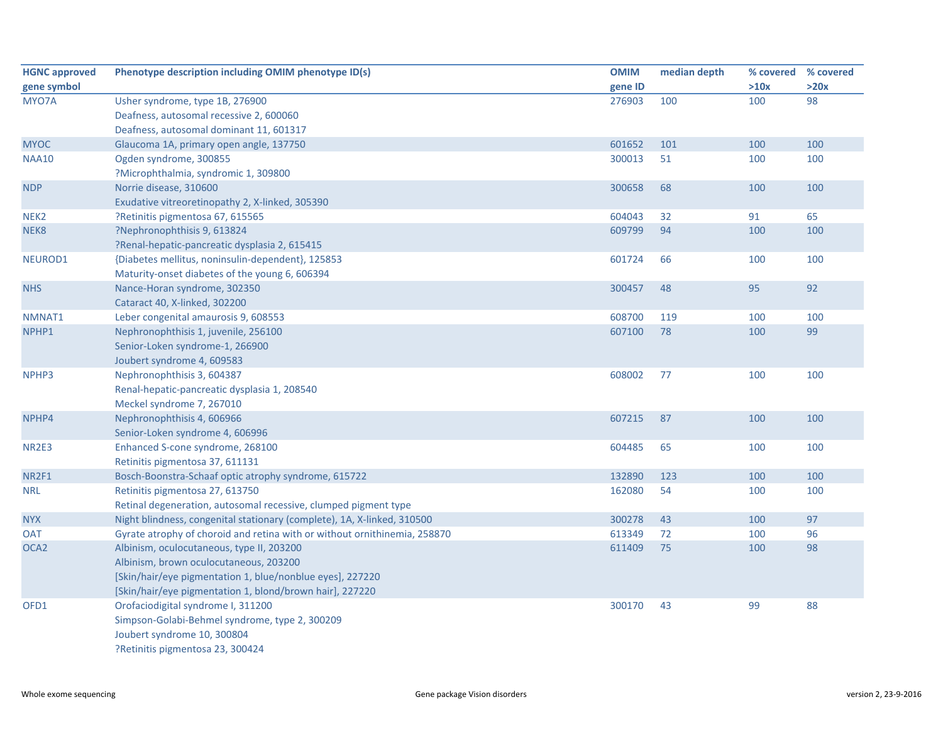| <b>HGNC approved</b> | Phenotype description including OMIM phenotype ID(s)                      | <b>OMIM</b> | median depth | % covered | % covered |
|----------------------|---------------------------------------------------------------------------|-------------|--------------|-----------|-----------|
| gene symbol          |                                                                           | gene ID     |              | >10x      | >20x      |
| MYO7A                | Usher syndrome, type 1B, 276900                                           | 276903      | 100          | 100       | 98        |
|                      | Deafness, autosomal recessive 2, 600060                                   |             |              |           |           |
|                      | Deafness, autosomal dominant 11, 601317                                   |             |              |           |           |
| <b>MYOC</b>          | Glaucoma 1A, primary open angle, 137750                                   | 601652      | 101          | 100       | 100       |
| <b>NAA10</b>         | Ogden syndrome, 300855                                                    | 300013      | 51           | 100       | 100       |
|                      | ?Microphthalmia, syndromic 1, 309800                                      |             |              |           |           |
| <b>NDP</b>           | Norrie disease, 310600                                                    | 300658      | 68           | 100       | 100       |
|                      | Exudative vitreoretinopathy 2, X-linked, 305390                           |             |              |           |           |
| NEK <sub>2</sub>     | ?Retinitis pigmentosa 67, 615565                                          | 604043      | 32           | 91        | 65        |
| NEK8                 | ?Nephronophthisis 9, 613824                                               | 609799      | 94           | 100       | 100       |
|                      | ?Renal-hepatic-pancreatic dysplasia 2, 615415                             |             |              |           |           |
| NEUROD1              | {Diabetes mellitus, noninsulin-dependent}, 125853                         | 601724      | 66           | 100       | 100       |
|                      | Maturity-onset diabetes of the young 6, 606394                            |             |              |           |           |
| <b>NHS</b>           | Nance-Horan syndrome, 302350                                              | 300457      | 48           | 95        | 92        |
|                      | Cataract 40, X-linked, 302200                                             |             |              |           |           |
| NMNAT1               | Leber congenital amaurosis 9, 608553                                      | 608700      | 119          | 100       | 100       |
| NPHP1                | Nephronophthisis 1, juvenile, 256100                                      | 607100      | 78           | 100       | 99        |
|                      | Senior-Loken syndrome-1, 266900                                           |             |              |           |           |
|                      | Joubert syndrome 4, 609583                                                |             |              |           |           |
| NPHP3                | Nephronophthisis 3, 604387                                                | 608002      | 77           | 100       | 100       |
|                      | Renal-hepatic-pancreatic dysplasia 1, 208540                              |             |              |           |           |
|                      | Meckel syndrome 7, 267010                                                 |             |              |           |           |
| NPHP4                | Nephronophthisis 4, 606966                                                | 607215      | 87           | 100       | 100       |
|                      | Senior-Loken syndrome 4, 606996                                           |             |              |           |           |
| <b>NR2E3</b>         | Enhanced S-cone syndrome, 268100                                          | 604485      | 65           | 100       | 100       |
|                      | Retinitis pigmentosa 37, 611131                                           |             |              |           |           |
| NR2F1                | Bosch-Boonstra-Schaaf optic atrophy syndrome, 615722                      | 132890      | 123          | 100       | 100       |
| <b>NRL</b>           | Retinitis pigmentosa 27, 613750                                           | 162080      | 54           | 100       | 100       |
|                      | Retinal degeneration, autosomal recessive, clumped pigment type           |             |              |           |           |
| <b>NYX</b>           | Night blindness, congenital stationary (complete), 1A, X-linked, 310500   | 300278      | 43           | 100       | 97        |
| <b>OAT</b>           | Gyrate atrophy of choroid and retina with or without ornithinemia, 258870 | 613349      | 72           | 100       | 96        |
| OCA <sub>2</sub>     | Albinism, oculocutaneous, type II, 203200                                 | 611409      | 75           | 100       | 98        |
|                      | Albinism, brown oculocutaneous, 203200                                    |             |              |           |           |
|                      | [Skin/hair/eye pigmentation 1, blue/nonblue eyes], 227220                 |             |              |           |           |
|                      | [Skin/hair/eye pigmentation 1, blond/brown hair], 227220                  |             |              |           |           |
| OFD1                 | Orofaciodigital syndrome I, 311200                                        | 300170      | 43           | 99        | 88        |
|                      | Simpson-Golabi-Behmel syndrome, type 2, 300209                            |             |              |           |           |
|                      | Joubert syndrome 10, 300804                                               |             |              |           |           |
|                      | ?Retinitis pigmentosa 23, 300424                                          |             |              |           |           |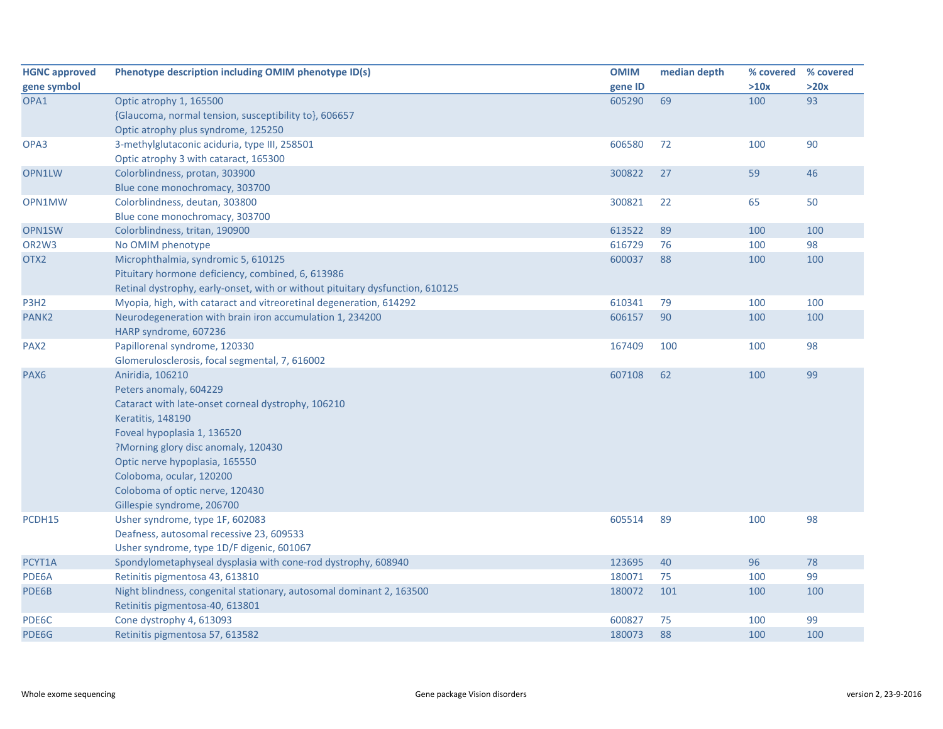| <b>HGNC approved</b>           | Phenotype description including OMIM phenotype ID(s)                          | <b>OMIM</b> | median depth | % covered % covered |      |
|--------------------------------|-------------------------------------------------------------------------------|-------------|--------------|---------------------|------|
| gene symbol                    |                                                                               | gene ID     |              | >10x                | >20x |
| OPA1                           | Optic atrophy 1, 165500                                                       | 605290      | 69           | 100                 | 93   |
|                                | {Glaucoma, normal tension, susceptibility to}, 606657                         |             |              |                     |      |
|                                | Optic atrophy plus syndrome, 125250                                           |             |              |                     |      |
| OPA3                           | 3-methylglutaconic aciduria, type III, 258501                                 | 606580      | 72           | 100                 | 90   |
|                                | Optic atrophy 3 with cataract, 165300                                         |             |              |                     |      |
| OPN1LW                         | Colorblindness, protan, 303900                                                | 300822      | 27           | 59                  | 46   |
|                                | Blue cone monochromacy, 303700                                                |             |              |                     |      |
| OPN1MW                         | Colorblindness, deutan, 303800                                                | 300821      | 22           | 65                  | 50   |
|                                | Blue cone monochromacy, 303700                                                |             |              |                     |      |
| OPN1SW                         | Colorblindness, tritan, 190900                                                | 613522      | 89           | 100                 | 100  |
| OR <sub>2</sub> W <sub>3</sub> | No OMIM phenotype                                                             | 616729      | 76           | 100                 | 98   |
| OTX2                           | Microphthalmia, syndromic 5, 610125                                           | 600037      | 88           | 100                 | 100  |
|                                | Pituitary hormone deficiency, combined, 6, 613986                             |             |              |                     |      |
|                                | Retinal dystrophy, early-onset, with or without pituitary dysfunction, 610125 |             |              |                     |      |
| P3H <sub>2</sub>               | Myopia, high, with cataract and vitreoretinal degeneration, 614292            | 610341      | 79           | 100                 | 100  |
| PANK <sub>2</sub>              | Neurodegeneration with brain iron accumulation 1, 234200                      | 606157      | 90           | 100                 | 100  |
|                                | HARP syndrome, 607236                                                         |             |              |                     |      |
| PAX <sub>2</sub>               | Papillorenal syndrome, 120330                                                 | 167409      | 100          | 100                 | 98   |
|                                | Glomerulosclerosis, focal segmental, 7, 616002                                |             |              |                     |      |
| PAX <sub>6</sub>               | Aniridia, 106210                                                              | 607108      | 62           | 100                 | 99   |
|                                | Peters anomaly, 604229                                                        |             |              |                     |      |
|                                | Cataract with late-onset corneal dystrophy, 106210                            |             |              |                     |      |
|                                | Keratitis, 148190                                                             |             |              |                     |      |
|                                | Foveal hypoplasia 1, 136520                                                   |             |              |                     |      |
|                                | ?Morning glory disc anomaly, 120430                                           |             |              |                     |      |
|                                | Optic nerve hypoplasia, 165550                                                |             |              |                     |      |
|                                | Coloboma, ocular, 120200                                                      |             |              |                     |      |
|                                | Coloboma of optic nerve, 120430                                               |             |              |                     |      |
|                                | Gillespie syndrome, 206700                                                    |             |              |                     |      |
| PCDH15                         | Usher syndrome, type 1F, 602083                                               | 605514      | 89           | 100                 | 98   |
|                                | Deafness, autosomal recessive 23, 609533                                      |             |              |                     |      |
|                                | Usher syndrome, type 1D/F digenic, 601067                                     |             |              |                     |      |
| PCYT1A                         | Spondylometaphyseal dysplasia with cone-rod dystrophy, 608940                 | 123695      | 40           | 96                  | 78   |
| PDE6A                          | Retinitis pigmentosa 43, 613810                                               | 180071      | 75           | 100                 | 99   |
| PDE6B                          | Night blindness, congenital stationary, autosomal dominant 2, 163500          | 180072      | 101          | 100                 | 100  |
|                                | Retinitis pigmentosa-40, 613801                                               |             |              |                     |      |
| PDE6C                          | Cone dystrophy 4, 613093                                                      | 600827      | 75           | 100                 | 99   |
| PDE6G                          | Retinitis pigmentosa 57, 613582                                               | 180073      | 88           | 100                 | 100  |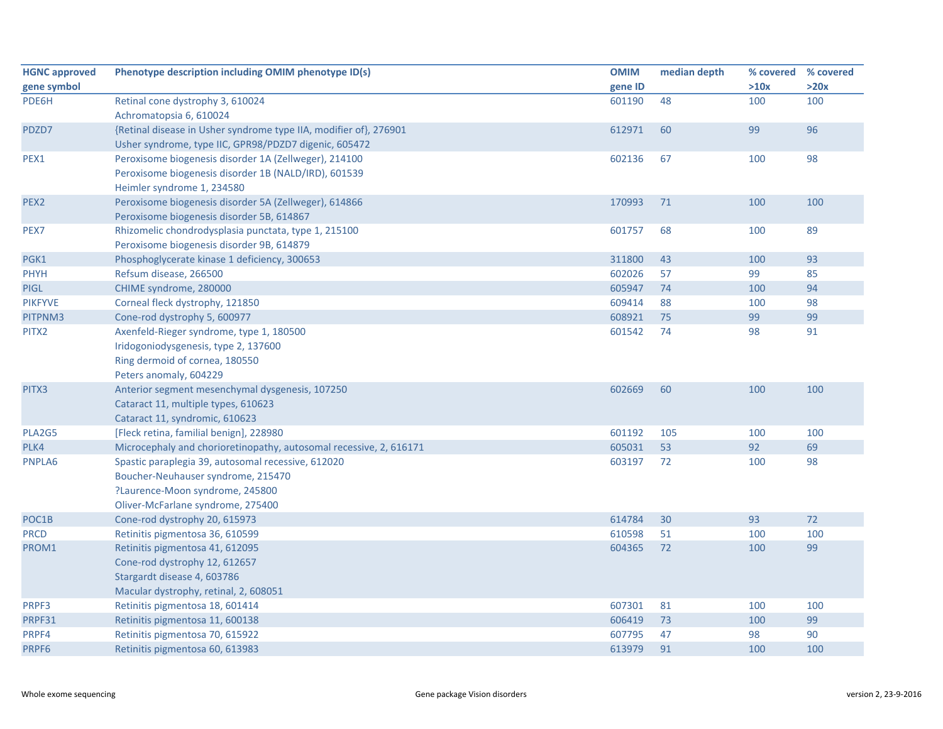| <b>HGNC approved</b> | Phenotype description including OMIM phenotype ID(s)               | <b>OMIM</b> | median depth | % covered % covered |      |
|----------------------|--------------------------------------------------------------------|-------------|--------------|---------------------|------|
| gene symbol          |                                                                    | gene ID     |              | >10x                | >20x |
| PDE6H                | Retinal cone dystrophy 3, 610024                                   | 601190      | 48           | 100                 | 100  |
|                      | Achromatopsia 6, 610024                                            |             |              |                     |      |
| PDZD7                | {Retinal disease in Usher syndrome type IIA, modifier of}, 276901  | 612971      | 60           | 99                  | 96   |
|                      | Usher syndrome, type IIC, GPR98/PDZD7 digenic, 605472              |             |              |                     |      |
| PEX1                 | Peroxisome biogenesis disorder 1A (Zellweger), 214100              | 602136      | 67           | 100                 | 98   |
|                      | Peroxisome biogenesis disorder 1B (NALD/IRD), 601539               |             |              |                     |      |
|                      | Heimler syndrome 1, 234580                                         |             |              |                     |      |
| PEX <sub>2</sub>     | Peroxisome biogenesis disorder 5A (Zellweger), 614866              | 170993      | 71           | 100                 | 100  |
|                      | Peroxisome biogenesis disorder 5B, 614867                          |             |              |                     |      |
| PEX7                 | Rhizomelic chondrodysplasia punctata, type 1, 215100               | 601757      | 68           | 100                 | 89   |
|                      | Peroxisome biogenesis disorder 9B, 614879                          |             |              |                     |      |
| PGK1                 | Phosphoglycerate kinase 1 deficiency, 300653                       | 311800      | 43           | 100                 | 93   |
| <b>PHYH</b>          | Refsum disease, 266500                                             | 602026      | 57           | 99                  | 85   |
| <b>PIGL</b>          | CHIME syndrome, 280000                                             | 605947      | 74           | 100                 | 94   |
| <b>PIKFYVE</b>       | Corneal fleck dystrophy, 121850                                    | 609414      | 88           | 100                 | 98   |
| PITPNM3              | Cone-rod dystrophy 5, 600977                                       | 608921      | 75           | 99                  | 99   |
| PITX2                | Axenfeld-Rieger syndrome, type 1, 180500                           | 601542      | 74           | 98                  | 91   |
|                      | Iridogoniodysgenesis, type 2, 137600                               |             |              |                     |      |
|                      | Ring dermoid of cornea, 180550                                     |             |              |                     |      |
|                      | Peters anomaly, 604229                                             |             |              |                     |      |
| PITX3                | Anterior segment mesenchymal dysgenesis, 107250                    | 602669      | 60           | 100                 | 100  |
|                      | Cataract 11, multiple types, 610623                                |             |              |                     |      |
|                      | Cataract 11, syndromic, 610623                                     |             |              |                     |      |
| PLA2G5               | [Fleck retina, familial benign], 228980                            | 601192      | 105          | 100                 | 100  |
| PLK4                 | Microcephaly and chorioretinopathy, autosomal recessive, 2, 616171 | 605031      | 53           | 92                  | 69   |
| PNPLA6               | Spastic paraplegia 39, autosomal recessive, 612020                 | 603197      | 72           | 100                 | 98   |
|                      | Boucher-Neuhauser syndrome, 215470                                 |             |              |                     |      |
|                      | ?Laurence-Moon syndrome, 245800                                    |             |              |                     |      |
|                      | Oliver-McFarlane syndrome, 275400                                  |             |              |                     |      |
| POC1B                | Cone-rod dystrophy 20, 615973                                      | 614784      | 30           | 93                  | 72   |
| <b>PRCD</b>          | Retinitis pigmentosa 36, 610599                                    | 610598      | 51           | 100                 | 100  |
| PROM1                | Retinitis pigmentosa 41, 612095                                    | 604365      | 72           | 100                 | 99   |
|                      | Cone-rod dystrophy 12, 612657                                      |             |              |                     |      |
|                      | Stargardt disease 4, 603786                                        |             |              |                     |      |
|                      | Macular dystrophy, retinal, 2, 608051                              |             |              |                     |      |
| PRPF3                | Retinitis pigmentosa 18, 601414                                    | 607301      | 81           | 100                 | 100  |
| PRPF31               | Retinitis pigmentosa 11, 600138                                    | 606419      | 73           | 100                 | 99   |
| PRPF4                | Retinitis pigmentosa 70, 615922                                    | 607795      | 47           | 98                  | 90   |
| PRPF6                | Retinitis pigmentosa 60, 613983                                    | 613979      | 91           | 100                 | 100  |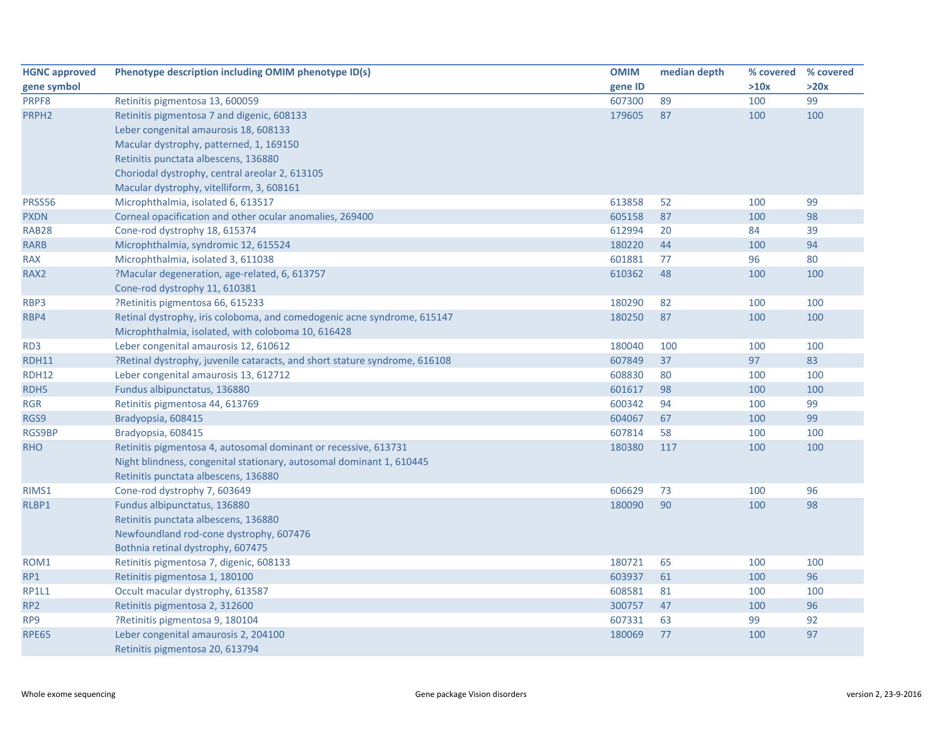| <b>HGNC approved</b> | Phenotype description including OMIM phenotype ID(s)                       | <b>OMIM</b> | median depth | % covered | % covered |
|----------------------|----------------------------------------------------------------------------|-------------|--------------|-----------|-----------|
| gene symbol          |                                                                            | gene ID     |              | >10x      | >20x      |
| PRPF8                | Retinitis pigmentosa 13, 600059                                            | 607300      | 89           | 100       | 99        |
| PRPH <sub>2</sub>    | Retinitis pigmentosa 7 and digenic, 608133                                 | 179605      | 87           | 100       | 100       |
|                      | Leber congenital amaurosis 18, 608133                                      |             |              |           |           |
|                      | Macular dystrophy, patterned, 1, 169150                                    |             |              |           |           |
|                      | Retinitis punctata albescens, 136880                                       |             |              |           |           |
|                      | Choriodal dystrophy, central areolar 2, 613105                             |             |              |           |           |
|                      | Macular dystrophy, vitelliform, 3, 608161                                  |             |              |           |           |
| PRSS56               | Microphthalmia, isolated 6, 613517                                         | 613858      | 52           | 100       | 99        |
| <b>PXDN</b>          | Corneal opacification and other ocular anomalies, 269400                   | 605158      | 87           | 100       | 98        |
| <b>RAB28</b>         | Cone-rod dystrophy 18, 615374                                              | 612994      | 20           | 84        | 39        |
| <b>RARB</b>          | Microphthalmia, syndromic 12, 615524                                       | 180220      | 44           | 100       | 94        |
| <b>RAX</b>           | Microphthalmia, isolated 3, 611038                                         | 601881      | 77           | 96        | 80        |
| RAX <sub>2</sub>     | ?Macular degeneration, age-related, 6, 613757                              | 610362      | 48           | 100       | 100       |
|                      | Cone-rod dystrophy 11, 610381                                              |             |              |           |           |
| RBP3                 | ?Retinitis pigmentosa 66, 615233                                           | 180290      | 82           | 100       | 100       |
| RBP4                 | Retinal dystrophy, iris coloboma, and comedogenic acne syndrome, 615147    | 180250      | 87           | 100       | 100       |
|                      | Microphthalmia, isolated, with coloboma 10, 616428                         |             |              |           |           |
| RD <sub>3</sub>      | Leber congenital amaurosis 12, 610612                                      | 180040      | 100          | 100       | 100       |
| <b>RDH11</b>         | ?Retinal dystrophy, juvenile cataracts, and short stature syndrome, 616108 | 607849      | 37           | 97        | 83        |
| <b>RDH12</b>         | Leber congenital amaurosis 13, 612712                                      | 608830      | 80           | 100       | 100       |
| RDH <sub>5</sub>     | Fundus albipunctatus, 136880                                               | 601617      | 98           | 100       | 100       |
| <b>RGR</b>           | Retinitis pigmentosa 44, 613769                                            | 600342      | 94           | 100       | 99        |
| RGS9                 | Bradyopsia, 608415                                                         | 604067      | 67           | 100       | 99        |
| RGS9BP               | Bradyopsia, 608415                                                         | 607814      | 58           | 100       | 100       |
| <b>RHO</b>           | Retinitis pigmentosa 4, autosomal dominant or recessive, 613731            | 180380      | 117          | 100       | 100       |
|                      | Night blindness, congenital stationary, autosomal dominant 1, 610445       |             |              |           |           |
|                      | Retinitis punctata albescens, 136880                                       |             |              |           |           |
| RIMS1                | Cone-rod dystrophy 7, 603649                                               | 606629      | 73           | 100       | 96        |
| RLBP1                | Fundus albipunctatus, 136880                                               | 180090      | 90           | 100       | 98        |
|                      | Retinitis punctata albescens, 136880                                       |             |              |           |           |
|                      | Newfoundland rod-cone dystrophy, 607476                                    |             |              |           |           |
|                      | Bothnia retinal dystrophy, 607475                                          |             |              |           |           |
| ROM1                 | Retinitis pigmentosa 7, digenic, 608133                                    | 180721      | 65           | 100       | 100       |
| RP1                  | Retinitis pigmentosa 1, 180100                                             | 603937      | 61           | 100       | 96        |
| <b>RP1L1</b>         | Occult macular dystrophy, 613587                                           | 608581      | 81           | 100       | 100       |
| RP <sub>2</sub>      | Retinitis pigmentosa 2, 312600                                             | 300757      | 47           | 100       | 96        |
| RP9                  | ?Retinitis pigmentosa 9, 180104                                            | 607331      | 63           | 99        | 92        |
| <b>RPE65</b>         | Leber congenital amaurosis 2, 204100                                       | 180069      | 77           | 100       | 97        |
|                      | Retinitis pigmentosa 20, 613794                                            |             |              |           |           |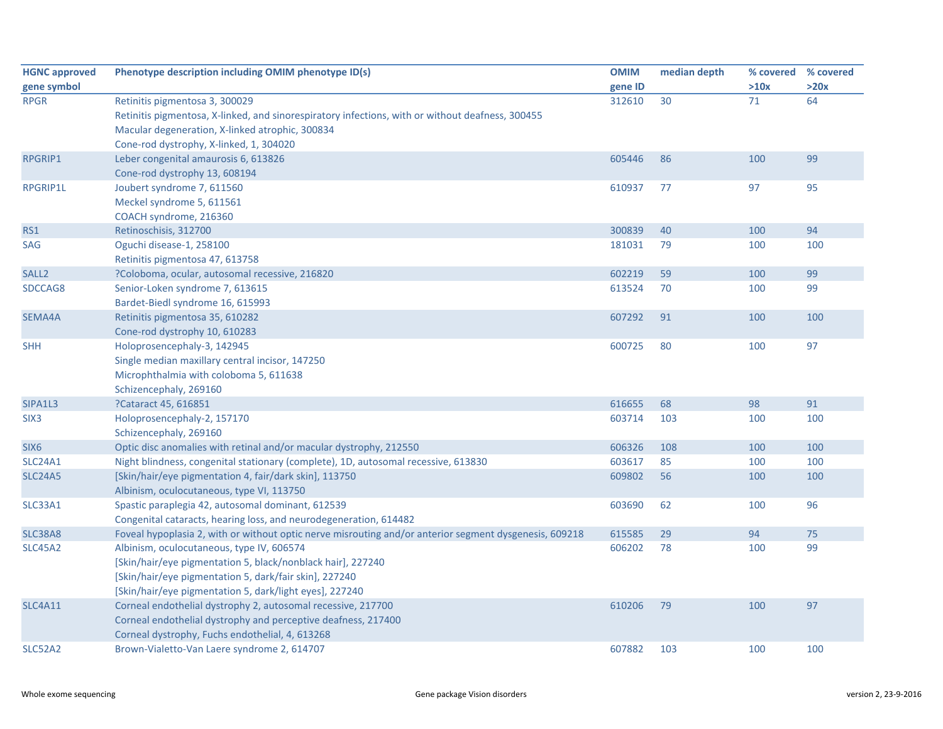| <b>HGNC approved</b> | Phenotype description including OMIM phenotype ID(s)                                                   | <b>OMIM</b> | median depth |      | % covered % covered |
|----------------------|--------------------------------------------------------------------------------------------------------|-------------|--------------|------|---------------------|
| gene symbol          |                                                                                                        | gene ID     |              | >10x | >20x                |
| <b>RPGR</b>          | Retinitis pigmentosa 3, 300029                                                                         | 312610      | 30           | 71   | 64                  |
|                      | Retinitis pigmentosa, X-linked, and sinorespiratory infections, with or without deafness, 300455       |             |              |      |                     |
|                      | Macular degeneration, X-linked atrophic, 300834                                                        |             |              |      |                     |
|                      | Cone-rod dystrophy, X-linked, 1, 304020                                                                |             |              |      |                     |
| RPGRIP1              | Leber congenital amaurosis 6, 613826                                                                   | 605446      | 86           | 100  | 99                  |
|                      | Cone-rod dystrophy 13, 608194                                                                          |             |              |      |                     |
| <b>RPGRIP1L</b>      | Joubert syndrome 7, 611560                                                                             | 610937      | 77           | 97   | 95                  |
|                      | Meckel syndrome 5, 611561                                                                              |             |              |      |                     |
|                      | COACH syndrome, 216360                                                                                 |             |              |      |                     |
| RS1                  | Retinoschisis, 312700                                                                                  | 300839      | 40           | 100  | 94                  |
| <b>SAG</b>           | Oguchi disease-1, 258100                                                                               | 181031      | 79           | 100  | 100                 |
|                      | Retinitis pigmentosa 47, 613758                                                                        |             |              |      |                     |
| SALL <sub>2</sub>    | ?Coloboma, ocular, autosomal recessive, 216820                                                         | 602219      | 59           | 100  | 99                  |
| SDCCAG8              | Senior-Loken syndrome 7, 613615                                                                        | 613524      | 70           | 100  | 99                  |
|                      | Bardet-Biedl syndrome 16, 615993                                                                       |             |              |      |                     |
| SEMA4A               | Retinitis pigmentosa 35, 610282                                                                        | 607292      | 91           | 100  | 100                 |
|                      | Cone-rod dystrophy 10, 610283                                                                          |             |              |      |                     |
| <b>SHH</b>           | Holoprosencephaly-3, 142945                                                                            | 600725      | 80           | 100  | 97                  |
|                      | Single median maxillary central incisor, 147250                                                        |             |              |      |                     |
|                      | Microphthalmia with coloboma 5, 611638                                                                 |             |              |      |                     |
|                      | Schizencephaly, 269160                                                                                 |             |              |      |                     |
| SIPA1L3              | ?Cataract 45, 616851                                                                                   | 616655      | 68           | 98   | 91                  |
| SIX <sub>3</sub>     | Holoprosencephaly-2, 157170                                                                            | 603714      | 103          | 100  | 100                 |
|                      | Schizencephaly, 269160                                                                                 |             |              |      |                     |
| SIX <sub>6</sub>     | Optic disc anomalies with retinal and/or macular dystrophy, 212550                                     | 606326      | 108          | 100  | 100                 |
| <b>SLC24A1</b>       | Night blindness, congenital stationary (complete), 1D, autosomal recessive, 613830                     | 603617      | 85           | 100  | 100                 |
| <b>SLC24A5</b>       | [Skin/hair/eye pigmentation 4, fair/dark skin], 113750                                                 | 609802      | 56           | 100  | 100                 |
|                      | Albinism, oculocutaneous, type VI, 113750                                                              |             |              |      |                     |
| SLC33A1              | Spastic paraplegia 42, autosomal dominant, 612539                                                      | 603690      | 62           | 100  | 96                  |
|                      | Congenital cataracts, hearing loss, and neurodegeneration, 614482                                      |             |              |      |                     |
| <b>SLC38A8</b>       | Foveal hypoplasia 2, with or without optic nerve misrouting and/or anterior segment dysgenesis, 609218 | 615585      | 29           | 94   | 75                  |
| <b>SLC45A2</b>       | Albinism, oculocutaneous, type IV, 606574                                                              | 606202      | 78           | 100  | 99                  |
|                      | [Skin/hair/eye pigmentation 5, black/nonblack hair], 227240                                            |             |              |      |                     |
|                      | [Skin/hair/eye pigmentation 5, dark/fair skin], 227240                                                 |             |              |      |                     |
|                      | [Skin/hair/eye pigmentation 5, dark/light eyes], 227240                                                |             |              |      |                     |
| <b>SLC4A11</b>       | Corneal endothelial dystrophy 2, autosomal recessive, 217700                                           | 610206      | 79           | 100  | 97                  |
|                      | Corneal endothelial dystrophy and perceptive deafness, 217400                                          |             |              |      |                     |
|                      | Corneal dystrophy, Fuchs endothelial, 4, 613268                                                        |             |              |      |                     |
| SLC52A2              | Brown-Vialetto-Van Laere syndrome 2, 614707                                                            | 607882      | 103          | 100  | 100                 |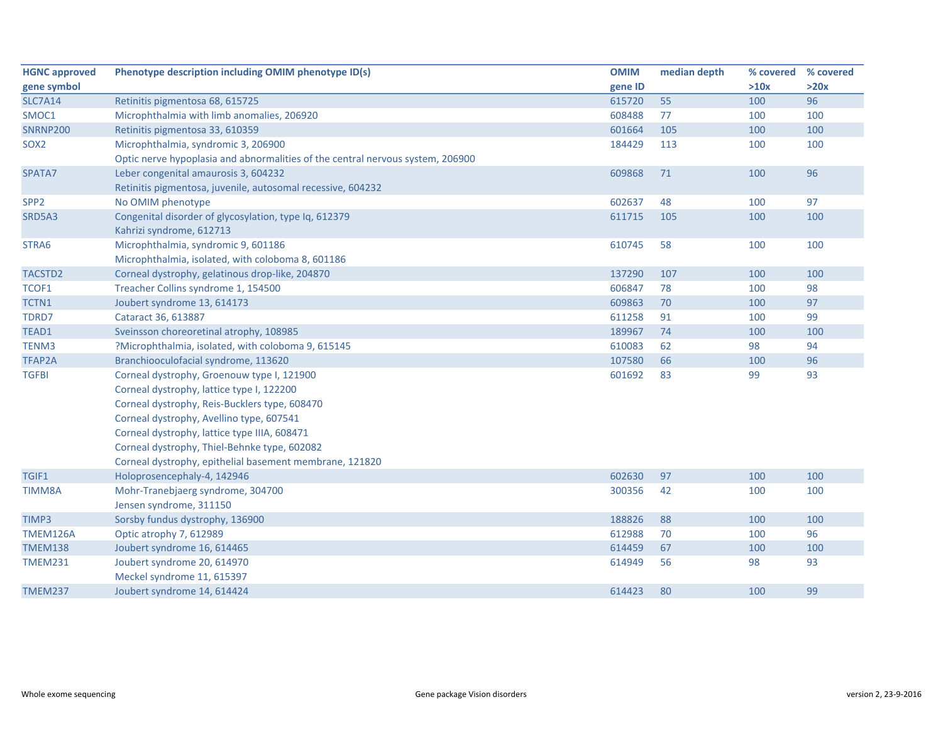| <b>HGNC approved</b> | Phenotype description including OMIM phenotype ID(s)                           | <b>OMIM</b> | median depth | % covered | % covered |
|----------------------|--------------------------------------------------------------------------------|-------------|--------------|-----------|-----------|
| gene symbol          |                                                                                | gene ID     |              | >10x      | >20x      |
| <b>SLC7A14</b>       | Retinitis pigmentosa 68, 615725                                                | 615720      | 55           | 100       | 96        |
| SMOC1                | Microphthalmia with limb anomalies, 206920                                     | 608488      | 77           | 100       | 100       |
| <b>SNRNP200</b>      | Retinitis pigmentosa 33, 610359                                                | 601664      | 105          | 100       | 100       |
| SOX <sub>2</sub>     | Microphthalmia, syndromic 3, 206900                                            | 184429      | 113          | 100       | 100       |
|                      | Optic nerve hypoplasia and abnormalities of the central nervous system, 206900 |             |              |           |           |
| SPATA7               | Leber congenital amaurosis 3, 604232                                           | 609868      | 71           | 100       | 96        |
|                      | Retinitis pigmentosa, juvenile, autosomal recessive, 604232                    |             |              |           |           |
| SPP <sub>2</sub>     | No OMIM phenotype                                                              | 602637      | 48           | 100       | 97        |
| SRD5A3               | Congenital disorder of glycosylation, type Iq, 612379                          | 611715      | 105          | 100       | 100       |
|                      | Kahrizi syndrome, 612713                                                       |             |              |           |           |
| STRA6                | Microphthalmia, syndromic 9, 601186                                            | 610745      | 58           | 100       | 100       |
|                      | Microphthalmia, isolated, with coloboma 8, 601186                              |             |              |           |           |
| TACSTD2              | Corneal dystrophy, gelatinous drop-like, 204870                                | 137290      | 107          | 100       | 100       |
| TCOF1                | Treacher Collins syndrome 1, 154500                                            | 606847      | 78           | 100       | 98        |
| TCTN1                | Joubert syndrome 13, 614173                                                    | 609863      | 70           | 100       | 97        |
| TDRD7                | Cataract 36, 613887                                                            | 611258      | 91           | 100       | 99        |
| TEAD1                | Sveinsson choreoretinal atrophy, 108985                                        | 189967      | 74           | 100       | 100       |
| TENM3                | ?Microphthalmia, isolated, with coloboma 9, 615145                             | 610083      | 62           | 98        | 94        |
| TFAP2A               | Branchiooculofacial syndrome, 113620                                           | 107580      | 66           | 100       | 96        |
| <b>TGFBI</b>         | Corneal dystrophy, Groenouw type I, 121900                                     | 601692      | 83           | 99        | 93        |
|                      | Corneal dystrophy, lattice type I, 122200                                      |             |              |           |           |
|                      | Corneal dystrophy, Reis-Bucklers type, 608470                                  |             |              |           |           |
|                      | Corneal dystrophy, Avellino type, 607541                                       |             |              |           |           |
|                      | Corneal dystrophy, lattice type IIIA, 608471                                   |             |              |           |           |
|                      | Corneal dystrophy, Thiel-Behnke type, 602082                                   |             |              |           |           |
|                      | Corneal dystrophy, epithelial basement membrane, 121820                        |             |              |           |           |
| TGIF1                | Holoprosencephaly-4, 142946                                                    | 602630      | 97           | 100       | 100       |
| TIMM8A               | Mohr-Tranebjaerg syndrome, 304700                                              | 300356      | 42           | 100       | 100       |
|                      | Jensen syndrome, 311150                                                        |             |              |           |           |
| TIMP3                | Sorsby fundus dystrophy, 136900                                                | 188826      | 88           | 100       | 100       |
| TMEM126A             | Optic atrophy 7, 612989                                                        | 612988      | 70           | 100       | 96        |
| <b>TMEM138</b>       | Joubert syndrome 16, 614465                                                    | 614459      | 67           | 100       | 100       |
| <b>TMEM231</b>       | Joubert syndrome 20, 614970                                                    | 614949      | 56           | 98        | 93        |
|                      | Meckel syndrome 11, 615397                                                     |             |              |           |           |
| <b>TMEM237</b>       | Joubert syndrome 14, 614424                                                    | 614423      | 80           | 100       | 99        |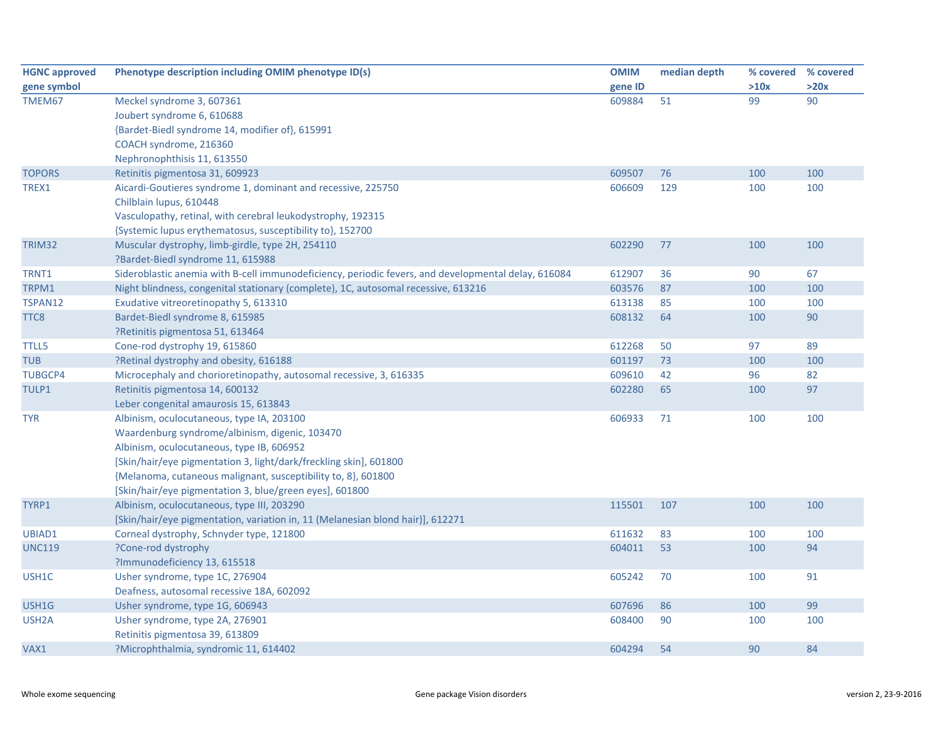| <b>HGNC approved</b> | Phenotype description including OMIM phenotype ID(s)                                                | <b>OMIM</b> | median depth |      | % covered % covered |
|----------------------|-----------------------------------------------------------------------------------------------------|-------------|--------------|------|---------------------|
| gene symbol          |                                                                                                     | gene ID     |              | >10x | >20x                |
| TMEM67               | Meckel syndrome 3, 607361                                                                           | 609884      | 51           | 99   | 90                  |
|                      | Joubert syndrome 6, 610688                                                                          |             |              |      |                     |
|                      | {Bardet-Biedl syndrome 14, modifier of}, 615991                                                     |             |              |      |                     |
|                      | COACH syndrome, 216360                                                                              |             |              |      |                     |
|                      | Nephronophthisis 11, 613550                                                                         |             |              |      |                     |
| <b>TOPORS</b>        | Retinitis pigmentosa 31, 609923                                                                     | 609507      | 76           | 100  | 100                 |
| TREX1                | Aicardi-Goutieres syndrome 1, dominant and recessive, 225750                                        | 606609      | 129          | 100  | 100                 |
|                      | Chilblain lupus, 610448                                                                             |             |              |      |                     |
|                      | Vasculopathy, retinal, with cerebral leukodystrophy, 192315                                         |             |              |      |                     |
|                      | {Systemic lupus erythematosus, susceptibility to}, 152700                                           |             |              |      |                     |
| TRIM32               | Muscular dystrophy, limb-girdle, type 2H, 254110                                                    | 602290      | 77           | 100  | 100                 |
|                      | ?Bardet-Biedl syndrome 11, 615988                                                                   |             |              |      |                     |
| TRNT1                | Sideroblastic anemia with B-cell immunodeficiency, periodic fevers, and developmental delay, 616084 | 612907      | 36           | 90   | 67                  |
| TRPM1                | Night blindness, congenital stationary (complete), 1C, autosomal recessive, 613216                  | 603576      | 87           | 100  | 100                 |
| TSPAN12              | Exudative vitreoretinopathy 5, 613310                                                               | 613138      | 85           | 100  | 100                 |
| TTC8                 | Bardet-Biedl syndrome 8, 615985                                                                     | 608132      | 64           | 100  | 90                  |
|                      | ?Retinitis pigmentosa 51, 613464                                                                    |             |              |      |                     |
| <b>TTLL5</b>         | Cone-rod dystrophy 19, 615860                                                                       | 612268      | 50           | 97   | 89                  |
| <b>TUB</b>           | ?Retinal dystrophy and obesity, 616188                                                              | 601197      | 73           | 100  | 100                 |
| <b>TUBGCP4</b>       | Microcephaly and chorioretinopathy, autosomal recessive, 3, 616335                                  | 609610      | 42           | 96   | 82                  |
| TULP1                | Retinitis pigmentosa 14, 600132                                                                     | 602280      | 65           | 100  | 97                  |
|                      | Leber congenital amaurosis 15, 613843                                                               |             |              |      |                     |
| <b>TYR</b>           | Albinism, oculocutaneous, type IA, 203100                                                           | 606933      | 71           | 100  | 100                 |
|                      | Waardenburg syndrome/albinism, digenic, 103470                                                      |             |              |      |                     |
|                      | Albinism, oculocutaneous, type IB, 606952                                                           |             |              |      |                     |
|                      | [Skin/hair/eye pigmentation 3, light/dark/freckling skin], 601800                                   |             |              |      |                     |
|                      | {Melanoma, cutaneous malignant, susceptibility to, 8}, 601800                                       |             |              |      |                     |
|                      | [Skin/hair/eye pigmentation 3, blue/green eyes], 601800                                             |             |              |      |                     |
| TYRP1                | Albinism, oculocutaneous, type III, 203290                                                          | 115501      | 107          | 100  | 100                 |
|                      | [Skin/hair/eye pigmentation, variation in, 11 (Melanesian blond hair)], 612271                      |             |              |      |                     |
| UBIAD1               | Corneal dystrophy, Schnyder type, 121800                                                            | 611632      | 83           | 100  | 100                 |
| <b>UNC119</b>        | ?Cone-rod dystrophy                                                                                 | 604011      | 53           | 100  | 94                  |
|                      | ?Immunodeficiency 13, 615518                                                                        |             |              |      |                     |
| USH1C                | Usher syndrome, type 1C, 276904                                                                     | 605242      | 70           | 100  | 91                  |
|                      | Deafness, autosomal recessive 18A, 602092                                                           |             |              |      |                     |
| USH1G                | Usher syndrome, type 1G, 606943                                                                     | 607696      | 86           | 100  | 99                  |
| USH <sub>2</sub> A   | Usher syndrome, type 2A, 276901                                                                     | 608400      | 90           | 100  | 100                 |
|                      | Retinitis pigmentosa 39, 613809                                                                     |             |              |      |                     |
| VAX1                 | ?Microphthalmia, syndromic 11, 614402                                                               | 604294      | 54           | 90   | 84                  |